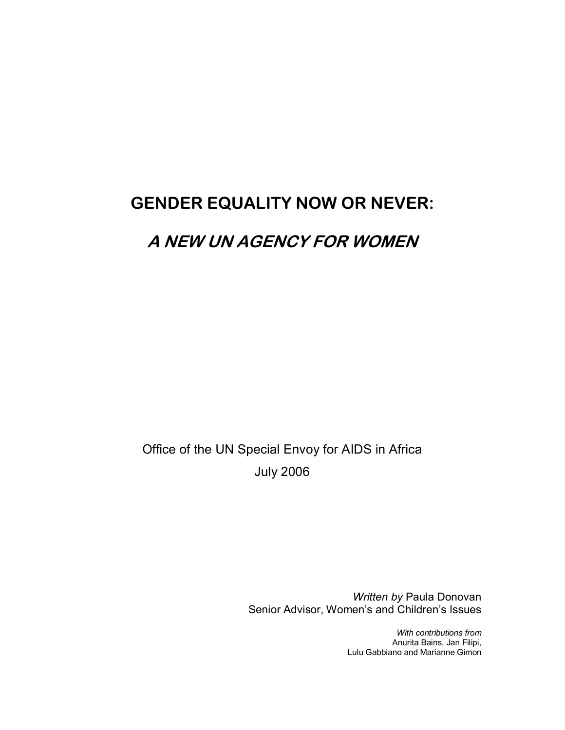# **GENDER EQUALITY NOW OR NEVER:**

# **A NEW UN AGENCY FOR WOMEN**

Office of the UN Special Envoy for AIDS in Africa July 2006

> *Written by* Paula Donovan Senior Advisor, Women's and Children's Issues

> > *With contributions from*  Anurita Bains, Jan Filipi, Lulu Gabbiano and Marianne Gimon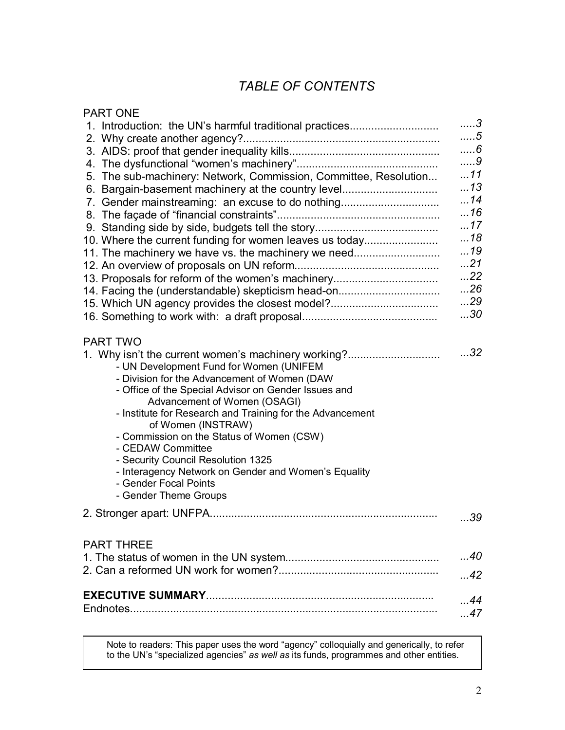# *TABLE OF CONTENTS*

| <b>PART ONE</b><br>1. Introduction: the UN's harmful traditional practices<br>5. The sub-machinery: Network, Commission, Committee, Resolution<br>6. Bargain-basement machinery at the country level<br>7. Gender mainstreaming: an excuse to do nothing<br>10. Where the current funding for women leaves us today<br>11. The machinery we have vs. the machinery we need<br>13. Proposals for reform of the women's machinery<br>14. Facing the (understandable) skepticism head-on<br>15. Which UN agency provides the closest model?                       | 3<br>. 5<br>$\ldots 6$<br>9<br>$\dots 11$<br>13<br>$\ldots$ 14<br>16<br>17<br>18<br>19<br>$\dots$ 21<br>$\dots$ 22<br>26<br>29<br>30 |
|----------------------------------------------------------------------------------------------------------------------------------------------------------------------------------------------------------------------------------------------------------------------------------------------------------------------------------------------------------------------------------------------------------------------------------------------------------------------------------------------------------------------------------------------------------------|--------------------------------------------------------------------------------------------------------------------------------------|
| <b>PART TWO</b><br>1. Why isn't the current women's machinery working?<br>- UN Development Fund for Women (UNIFEM<br>- Division for the Advancement of Women (DAW<br>- Office of the Special Advisor on Gender Issues and<br>Advancement of Women (OSAGI)<br>- Institute for Research and Training for the Advancement<br>of Women (INSTRAW)<br>- Commission on the Status of Women (CSW)<br>- CEDAW Committee<br>- Security Council Resolution 1325<br>- Interagency Network on Gender and Women's Equality<br>- Gender Focal Points<br>- Gender Theme Groups | 32                                                                                                                                   |
| 2. Stronger apart: UNFPA.                                                                                                                                                                                                                                                                                                                                                                                                                                                                                                                                      | 39                                                                                                                                   |
| <b>PART THREE</b>                                                                                                                                                                                                                                                                                                                                                                                                                                                                                                                                              | 40<br>42                                                                                                                             |
|                                                                                                                                                                                                                                                                                                                                                                                                                                                                                                                                                                | $\ldots$ 44<br>47                                                                                                                    |

Note to readers: This paper uses the word "agency" colloquially and generically, to refer to the UN's "specialized agencies" *as well as* its funds, programmes and other entities.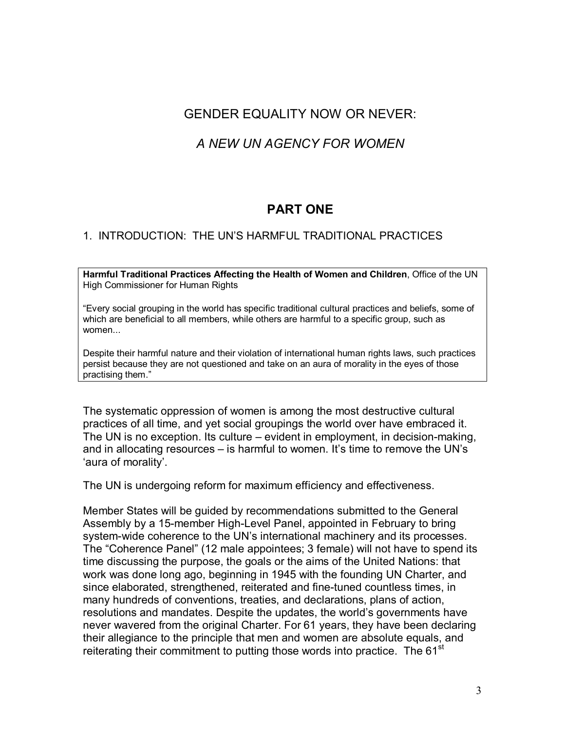# GENDER EQUALITY NOW OR NEVER:

# *A NEW UN AGENCY FOR WOMEN*

# **PART ONE**

#### 1. INTRODUCTION: THE UNíS HARMFUL TRADITIONAL PRACTICES

**Harmful Traditional Practices Affecting the Health of Women and Children**, Office of the UN High Commissioner for Human Rights

ìEvery social grouping in the world has specific traditional cultural practices and beliefs, some of which are beneficial to all members, while others are harmful to a specific group, such as women...

Despite their harmful nature and their violation of international human rights laws, such practices persist because they are not questioned and take on an aura of morality in the eyes of those practising them."

The systematic oppression of women is among the most destructive cultural practices of all time, and yet social groupings the world over have embraced it. The UN is no exception. Its culture  $-\omega$  evident in employment, in decision-making, and in allocating resources  $-$  is harmful to women. It's time to remove the UN's 'aura of morality'.

The UN is undergoing reform for maximum efficiency and effectiveness.

Member States will be guided by recommendations submitted to the General Assembly by a 15-member High-Level Panel, appointed in February to bring system-wide coherence to the UNís international machinery and its processes. The "Coherence Panel" (12 male appointees; 3 female) will not have to spend its time discussing the purpose, the goals or the aims of the United Nations: that work was done long ago, beginning in 1945 with the founding UN Charter, and since elaborated, strengthened, reiterated and fine-tuned countless times, in many hundreds of conventions, treaties, and declarations, plans of action, resolutions and mandates. Despite the updates, the world's governments have never wavered from the original Charter. For 61 years, they have been declaring their allegiance to the principle that men and women are absolute equals, and reiterating their commitment to putting those words into practice. The 61<sup>st</sup>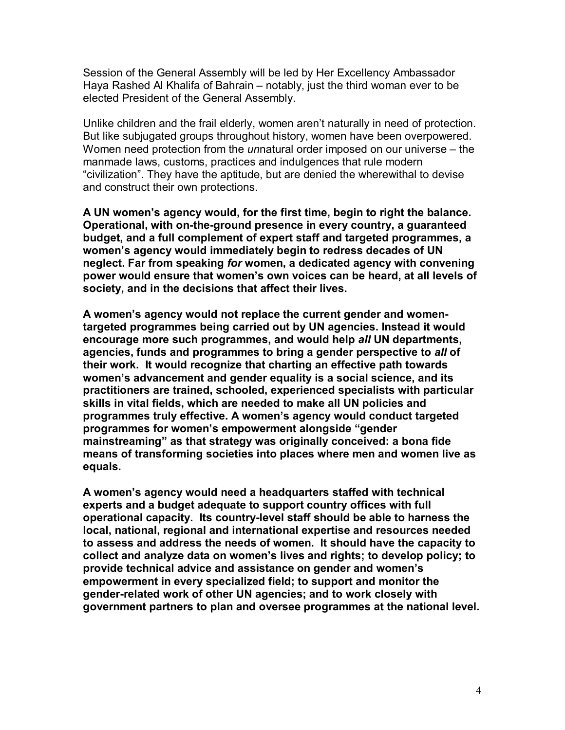Session of the General Assembly will be led by Her Excellency Ambassador Haya Rashed Al Khalifa of Bahrain – notably, just the third woman ever to be elected President of the General Assembly.

Unlike children and the frail elderly, women aren't naturally in need of protection. But like subjugated groups throughout history, women have been overpowered. Women need protection from the *un*natural order imposed on our universe – the manmade laws, customs, practices and indulgences that rule modern "civilization". They have the aptitude, but are denied the wherewithal to devise and construct their own protections.

**A UN womenís agency would, for the first time, begin to right the balance. Operational, with on-the-ground presence in every country, a guaranteed budget, and a full complement of expert staff and targeted programmes, a womenís agency would immediately begin to redress decades of UN neglect. Far from speaking** *for* **women, a dedicated agency with convening power would ensure that womenís own voices can be heard, at all levels of society, and in the decisions that affect their lives.** 

A women's agency would not replace the current gender and women**targeted programmes being carried out by UN agencies. Instead it would encourage more such programmes, and would help** *all* **UN departments, agencies, funds and programmes to bring a gender perspective to** *all* **of their work. It would recognize that charting an effective path towards womenís advancement and gender equality is a social science, and its practitioners are trained, schooled, experienced specialists with particular skills in vital fields, which are needed to make all UN policies and programmes truly effective. A womenís agency would conduct targeted**  programmes for women's empowerment alongside "gender **mainstreamingî as that strategy was originally conceived: a bona fide means of transforming societies into places where men and women live as equals.** 

**A womenís agency would need a headquarters staffed with technical experts and a budget adequate to support country offices with full operational capacity. Its country-level staff should be able to harness the local, national, regional and international expertise and resources needed to assess and address the needs of women. It should have the capacity to collect and analyze data on womenís lives and rights; to develop policy; to provide technical advice and assistance on gender and womenís empowerment in every specialized field; to support and monitor the gender-related work of other UN agencies; and to work closely with government partners to plan and oversee programmes at the national level.**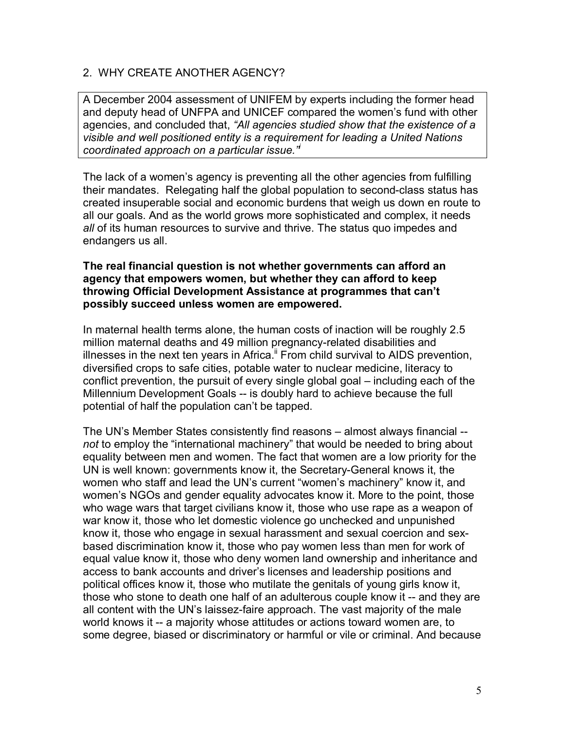#### 2. WHY CREATE ANOTHER AGENCY?

A December 2004 assessment of UNIFEM by experts including the former head and deputy head of UNFPA and UNICEF compared the women's fund with other agencies, and concluded that, *ìAll agencies studied show that the existence of a visible and well positioned entity is a requirement for leading a United Nations coordinated approach on a particular issue.îi*

The lack of a women's agency is preventing all the other agencies from fulfilling their mandates. Relegating half the global population to second-class status has created insuperable social and economic burdens that weigh us down en route to all our goals. And as the world grows more sophisticated and complex, it needs *all* of its human resources to survive and thrive. The status quo impedes and endangers us all.

#### **The real financial question is not whether governments can afford an agency that empowers women, but whether they can afford to keep throwing Official Development Assistance at programmes that canít possibly succeed unless women are empowered.**

In maternal health terms alone, the human costs of inaction will be roughly 2.5 million maternal deaths and 49 million pregnancy-related disabilities and illnesses in the next ten years in Africa. $\mathsf{I}$  From child survival to AIDS prevention, diversified crops to safe cities, potable water to nuclear medicine, literacy to conflict prevention, the pursuit of every single global goal  $-$  including each of the Millennium Development Goals -- is doubly hard to achieve because the full potential of half the population can't be tapped.

The UN's Member States consistently find reasons – almost always financial -*not* to employ the "international machinery" that would be needed to bring about equality between men and women. The fact that women are a low priority for the UN is well known: governments know it, the Secretary-General knows it, the women who staff and lead the UN's current "women's machinery" know it, and womenís NGOs and gender equality advocates know it. More to the point, those who wage wars that target civilians know it, those who use rape as a weapon of war know it, those who let domestic violence go unchecked and unpunished know it, those who engage in sexual harassment and sexual coercion and sexbased discrimination know it, those who pay women less than men for work of equal value know it, those who deny women land ownership and inheritance and access to bank accounts and driverís licenses and leadership positions and political offices know it, those who mutilate the genitals of young girls know it, those who stone to death one half of an adulterous couple know it -- and they are all content with the UNís laissez-faire approach. The vast majority of the male world knows it -- a majority whose attitudes or actions toward women are, to some degree, biased or discriminatory or harmful or vile or criminal. And because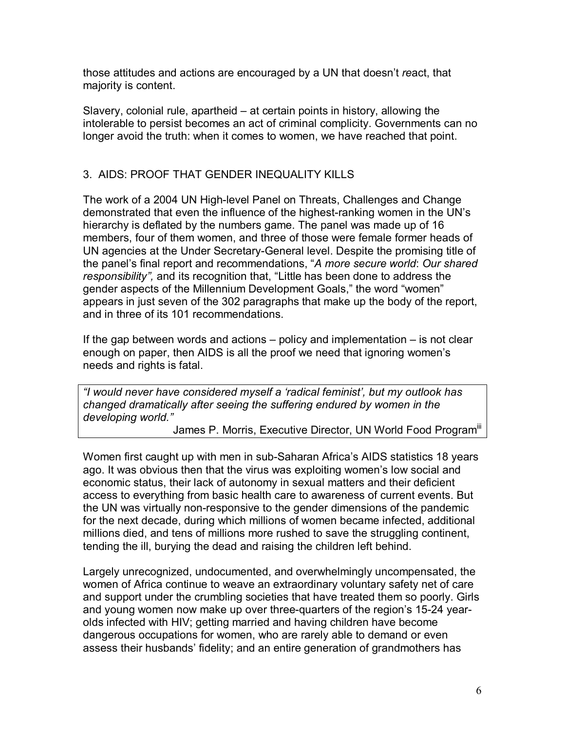those attitudes and actions are encouraged by a UN that doesnít *re*act, that majority is content.

Slavery, colonial rule, apartheid  $-$  at certain points in history, allowing the intolerable to persist becomes an act of criminal complicity. Governments can no longer avoid the truth: when it comes to women, we have reached that point.

#### 3. AIDS: PROOF THAT GENDER INEQUALITY KILLS

The work of a 2004 UN High-level Panel on Threats, Challenges and Change demonstrated that even the influence of the highest-ranking women in the UN's hierarchy is deflated by the numbers game. The panel was made up of 16 members, four of them women, and three of those were female former heads of UN agencies at the Under Secretary-General level. Despite the promising title of the panel's final report and recommendations, "A more secure world: Our shared *responsibility*", and its recognition that, "Little has been done to address the gender aspects of the Millennium Development Goals," the word "women" appears in just seven of the 302 paragraphs that make up the body of the report, and in three of its 101 recommendations.

If the gap between words and actions  $-$  policy and implementation  $-$  is not clear enough on paper, then AIDS is all the proof we need that ignoring women's needs and rights is fatal.

*ìI would never have considered myself a ëradical feministí, but my outlook has changed dramatically after seeing the suffering endured by women in the developing world.î* 

James P. Morris, Executive Director, UN World Food Program<sup>iii</sup>

Women first caught up with men in sub-Saharan Africa's AIDS statistics 18 years ago. It was obvious then that the virus was exploiting women's low social and economic status, their lack of autonomy in sexual matters and their deficient access to everything from basic health care to awareness of current events. But the UN was virtually non-responsive to the gender dimensions of the pandemic for the next decade, during which millions of women became infected, additional millions died, and tens of millions more rushed to save the struggling continent, tending the ill, burying the dead and raising the children left behind.

Largely unrecognized, undocumented, and overwhelmingly uncompensated, the women of Africa continue to weave an extraordinary voluntary safety net of care and support under the crumbling societies that have treated them so poorly. Girls and young women now make up over three-quarters of the region's 15-24 yearolds infected with HIV; getting married and having children have become dangerous occupations for women, who are rarely able to demand or even assess their husbands' fidelity; and an entire generation of grandmothers has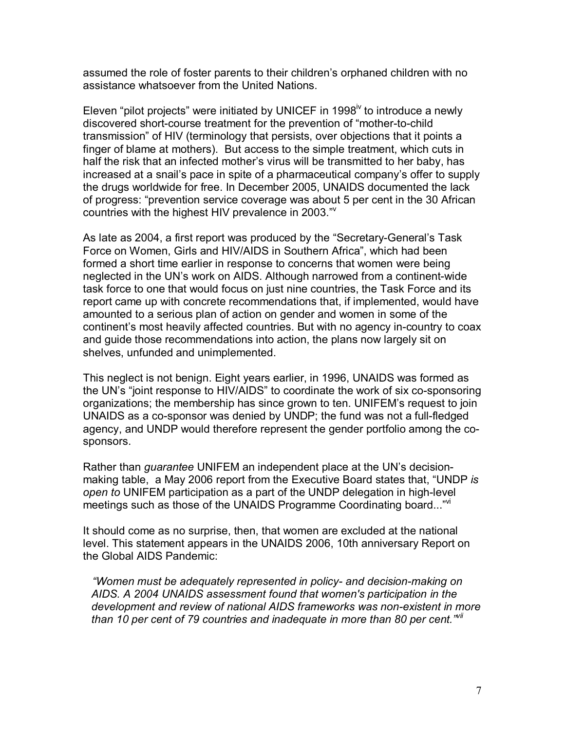assumed the role of foster parents to their childrenís orphaned children with no assistance whatsoever from the United Nations.

Eleven "pilot projects" were initiated by UNICEF in 1998<sup>iv</sup> to introduce a newly discovered short-course treatment for the prevention of "mother-to-child" transmission" of HIV (terminology that persists, over objections that it points a finger of blame at mothers). But access to the simple treatment, which cuts in half the risk that an infected mother's virus will be transmitted to her baby, has increased at a snailís pace in spite of a pharmaceutical companyís offer to supply the drugs worldwide for free. In December 2005, UNAIDS documented the lack of progress: "prevention service coverage was about 5 per cent in the 30 African countries with the highest HIV prevalence in 2003."V

As late as 2004, a first report was produced by the "Secretary-General's Task Force on Women, Girls and HIV/AIDS in Southern Africa", which had been formed a short time earlier in response to concerns that women were being neglected in the UNís work on AIDS. Although narrowed from a continent-wide task force to one that would focus on just nine countries, the Task Force and its report came up with concrete recommendations that, if implemented, would have amounted to a serious plan of action on gender and women in some of the continent's most heavily affected countries. But with no agency in-country to coax and guide those recommendations into action, the plans now largely sit on shelves, unfunded and unimplemented.

This neglect is not benign. Eight years earlier, in 1996, UNAIDS was formed as the UN's "joint response to HIV/AIDS" to coordinate the work of six co-sponsoring organizations; the membership has since grown to ten. UNIFEMís request to join UNAIDS as a co-sponsor was denied by UNDP; the fund was not a full-fledged agency, and UNDP would therefore represent the gender portfolio among the cosponsors.

Rather than *guarantee* UNIFEM an independent place at the UN's decisionmaking table, a May 2006 report from the Executive Board states that, "UNDP is *open to* UNIFEM participation as a part of the UNDP delegation in high-level meetings such as those of the UNAIDS Programme Coordinating board..."<sup>vi</sup>

It should come as no surprise, then, that women are excluded at the national level. This statement appears in the UNAIDS 2006, 10th anniversary Report on the Global AIDS Pandemic:

 *ìWomen must be adequately represented in policy- and decision-making on AIDS. A 2004 UNAIDS assessment found that women's participation in the development and review of national AIDS frameworks was non-existent in more*  than 10 per cent of 79 countries and inadequate in more than 80 per cent.<sup>"Nii</sup>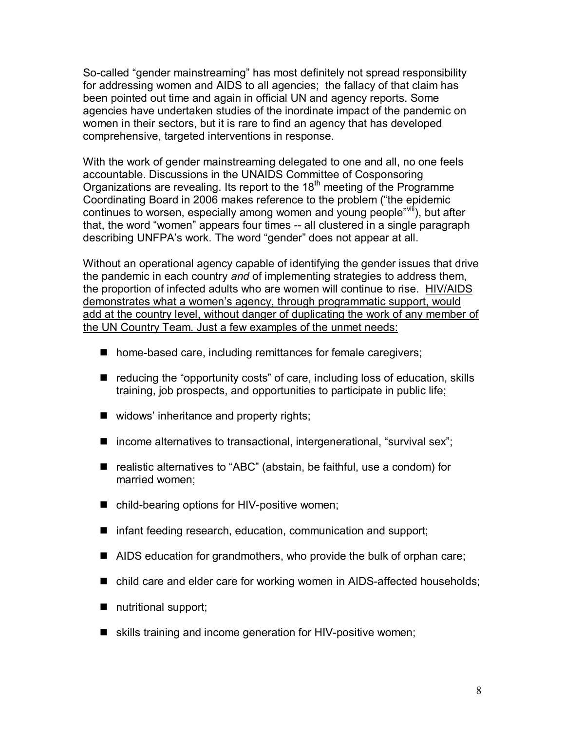So-called "gender mainstreaming" has most definitely not spread responsibility for addressing women and AIDS to all agencies; the fallacy of that claim has been pointed out time and again in official UN and agency reports. Some agencies have undertaken studies of the inordinate impact of the pandemic on women in their sectors, but it is rare to find an agency that has developed comprehensive, targeted interventions in response.

With the work of gender mainstreaming delegated to one and all, no one feels accountable. Discussions in the UNAIDS Committee of Cosponsoring Organizations are revealing. Its report to the  $18<sup>th</sup>$  meeting of the Programme Coordinating Board in 2006 makes reference to the problem ("the epidemic continues to worsen, especially among women and young people<sup>"VIII</sup>), but after that, the word "women" appears four times -- all clustered in a single paragraph describing UNFPA's work. The word "gender" does not appear at all.

Without an operational agency capable of identifying the gender issues that drive the pandemic in each country *and* of implementing strategies to address them, the proportion of infected adults who are women will continue to rise. HIV/AIDS demonstrates what a women's agency, through programmatic support, would add at the country level, without danger of duplicating the work of any member of the UN Country Team. Just a few examples of the unmet needs:

- home-based care, including remittances for female caregivers;
- $\blacksquare$  reducing the "opportunity costs" of care, including loss of education, skills training, job prospects, and opportunities to participate in public life;
- $\blacksquare$  widows' inheritance and property rights;
- $\blacksquare$  income alternatives to transactional, intergenerational, "survival sex";
- $\blacksquare$  realistic alternatives to "ABC" (abstain, be faithful, use a condom) for married women;
- child-bearing options for HIV-positive women;
- **I** infant feeding research, education, communication and support;
- AIDS education for grandmothers, who provide the bulk of orphan care;
- **n** child care and elder care for working women in AIDS-affected households;
- nutritional support;
- skills training and income generation for HIV-positive women;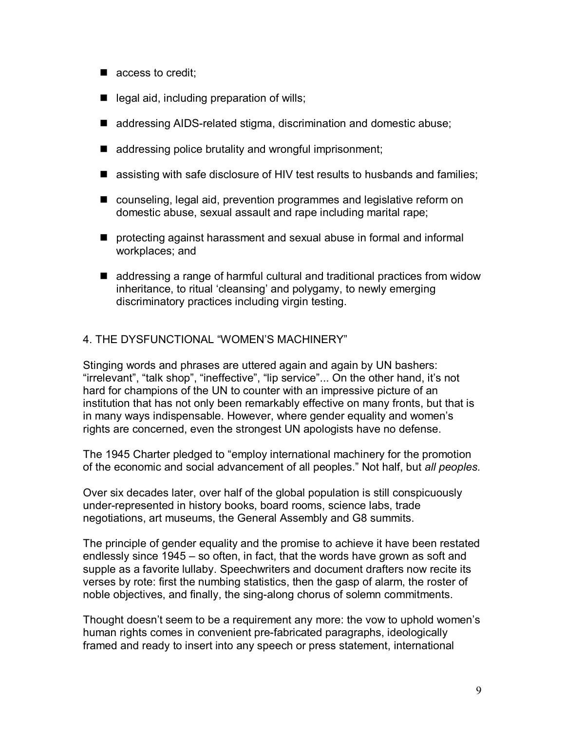- access to credit;
- $\blacksquare$  legal aid, including preparation of wills;
- addressing AIDS-related stigma, discrimination and domestic abuse;
- $\blacksquare$  addressing police brutality and wrongful imprisonment;
- assisting with safe disclosure of HIV test results to husbands and families;
- counseling, legal aid, prevention programmes and legislative reform on domestic abuse, sexual assault and rape including marital rape;
- protecting against harassment and sexual abuse in formal and informal workplaces; and
- addressing a range of harmful cultural and traditional practices from widow inheritance, to ritual 'cleansing' and polygamy, to newly emerging discriminatory practices including virgin testing.

#### 4. THE DYSFUNCTIONAL "WOMEN'S MACHINERY"

Stinging words and phrases are uttered again and again by UN bashers: "irrelevant", "talk shop", "ineffective", "lip service"... On the other hand, it's not hard for champions of the UN to counter with an impressive picture of an institution that has not only been remarkably effective on many fronts, but that is in many ways indispensable. However, where gender equality and womenís rights are concerned, even the strongest UN apologists have no defense.

The 1945 Charter pledged to "employ international machinery for the promotion of the economic and social advancement of all peoples.î Not half, but *all peoples.*

Over six decades later, over half of the global population is still conspicuously under-represented in history books, board rooms, science labs, trade negotiations, art museums, the General Assembly and G8 summits.

The principle of gender equality and the promise to achieve it have been restated endlessly since 1945  $-$  so often, in fact, that the words have grown as soft and supple as a favorite lullaby. Speechwriters and document drafters now recite its verses by rote: first the numbing statistics, then the gasp of alarm, the roster of noble objectives, and finally, the sing-along chorus of solemn commitments.

Thought doesnít seem to be a requirement any more: the vow to uphold womenís human rights comes in convenient pre-fabricated paragraphs, ideologically framed and ready to insert into any speech or press statement, international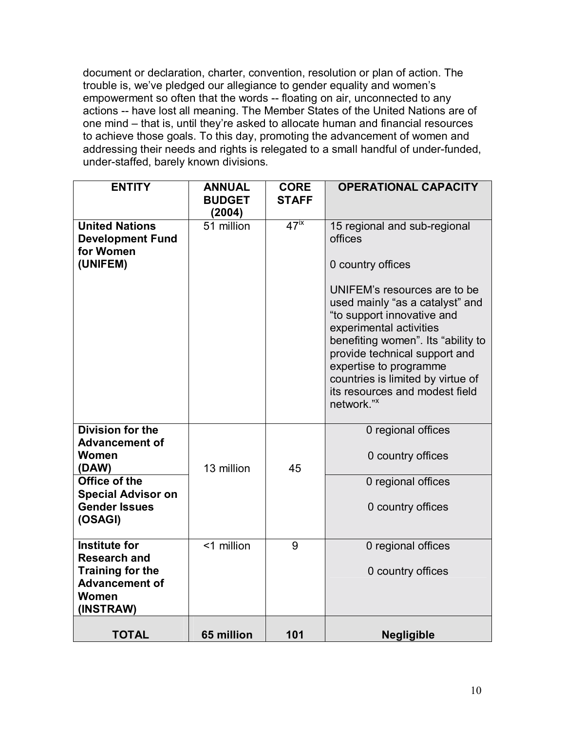document or declaration, charter, convention, resolution or plan of action. The trouble is, we've pledged our allegiance to gender equality and women's empowerment so often that the words -- floating on air, unconnected to any actions -- have lost all meaning. The Member States of the United Nations are of one mind  $-$  that is, until they're asked to allocate human and financial resources to achieve those goals. To this day, promoting the advancement of women and addressing their needs and rights is relegated to a small handful of under-funded, under-staffed, barely known divisions.

| <b>ENTITY</b>                                                                                                         | <b>ANNUAL</b><br><b>BUDGET</b> | <b>CORE</b><br><b>STAFF</b> | <b>OPERATIONAL CAPACITY</b>                                                                                                                                                                                                                                                                                                                                      |
|-----------------------------------------------------------------------------------------------------------------------|--------------------------------|-----------------------------|------------------------------------------------------------------------------------------------------------------------------------------------------------------------------------------------------------------------------------------------------------------------------------------------------------------------------------------------------------------|
|                                                                                                                       | (2004)                         |                             |                                                                                                                                                                                                                                                                                                                                                                  |
| <b>United Nations</b><br><b>Development Fund</b><br>for Women<br>(UNIFEM)                                             | 51 million                     | 47 <sup>ix</sup>            | 15 regional and sub-regional<br>offices<br>0 country offices<br>UNIFEM's resources are to be<br>used mainly "as a catalyst" and<br>"to support innovative and<br>experimental activities<br>benefiting women". Its "ability to<br>provide technical support and<br>expertise to programme<br>countries is limited by virtue of<br>its resources and modest field |
|                                                                                                                       |                                |                             | network." <sup>x</sup>                                                                                                                                                                                                                                                                                                                                           |
| <b>Division for the</b><br><b>Advancement of</b><br>Women<br>(DAW)                                                    | 13 million                     | 45                          | 0 regional offices<br>0 country offices                                                                                                                                                                                                                                                                                                                          |
| Office of the                                                                                                         |                                |                             | 0 regional offices                                                                                                                                                                                                                                                                                                                                               |
| <b>Special Advisor on</b><br><b>Gender Issues</b><br>(OSAGI)                                                          |                                |                             | 0 country offices                                                                                                                                                                                                                                                                                                                                                |
| <b>Institute for</b><br><b>Research and</b><br><b>Training for the</b><br><b>Advancement of</b><br>Women<br>(INSTRAW) | $\overline{1}$ million         | 9                           | 0 regional offices<br>0 country offices                                                                                                                                                                                                                                                                                                                          |
| <b>TOTAL</b>                                                                                                          | 65 million                     | 101                         | <b>Negligible</b>                                                                                                                                                                                                                                                                                                                                                |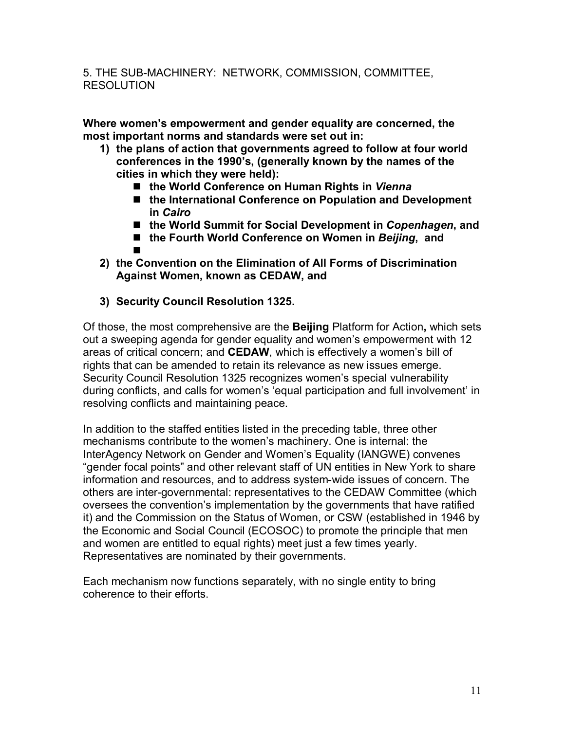#### 5. THE SUB-MACHINERY: NETWORK, COMMISSION, COMMITTEE, RESOLUTION

**Where womenís empowerment and gender equality are concerned, the most important norms and standards were set out in:** 

- **1) the plans of action that governments agreed to follow at four world conferences in the 1990ís, (generally known by the names of the cities in which they were held):** 
	- the World Conference on Human Rights in *Vienna*
	- the International Conference on Population and Development **in** *Cairo*
	- the World Summit for Social Development in *Copenhagen*, and
	- the Fourth World Conference on Women in Beijing, and **1999**
- **2) the Convention on the Elimination of All Forms of Discrimination Against Women, known as CEDAW, and**
- **3) Security Council Resolution 1325.**

Of those, the most comprehensive are the **Beijing** Platform for Action**,** which sets out a sweeping agenda for gender equality and women's empowerment with 12 areas of critical concern; and **CEDAW**, which is effectively a womenís bill of rights that can be amended to retain its relevance as new issues emerge. Security Council Resolution 1325 recognizes women's special vulnerability during conflicts, and calls for women's 'equal participation and full involvement' in resolving conflicts and maintaining peace.

In addition to the staffed entities listed in the preceding table, three other mechanisms contribute to the women's machinery. One is internal: the InterAgency Network on Gender and Women's Equality (IANGWE) convenes "gender focal points" and other relevant staff of UN entities in New York to share information and resources, and to address system-wide issues of concern. The others are inter-governmental: representatives to the CEDAW Committee (which oversees the convention's implementation by the governments that have ratified it) and the Commission on the Status of Women, or CSW (established in 1946 by the Economic and Social Council (ECOSOC) to promote the principle that men and women are entitled to equal rights) meet just a few times yearly. Representatives are nominated by their governments.

Each mechanism now functions separately, with no single entity to bring coherence to their efforts.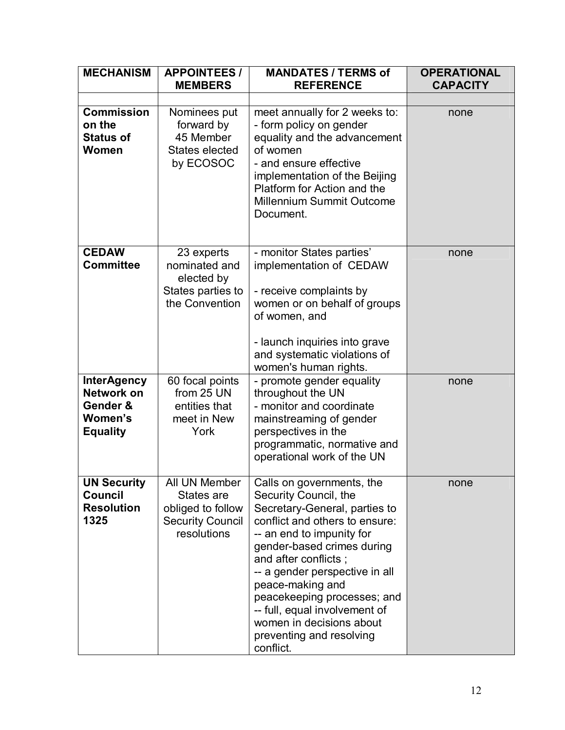| <b>MECHANISM</b>                                                                  | <b>APPOINTEES/</b><br><b>MEMBERS</b>                                                       | <b>MANDATES / TERMS of</b><br><b>REFERENCE</b>                                                                                                                                                                                                                                                                                                                                                      | <b>OPERATIONAL</b><br><b>CAPACITY</b> |
|-----------------------------------------------------------------------------------|--------------------------------------------------------------------------------------------|-----------------------------------------------------------------------------------------------------------------------------------------------------------------------------------------------------------------------------------------------------------------------------------------------------------------------------------------------------------------------------------------------------|---------------------------------------|
|                                                                                   |                                                                                            |                                                                                                                                                                                                                                                                                                                                                                                                     |                                       |
| <b>Commission</b><br>on the<br><b>Status of</b><br>Women                          | Nominees put<br>forward by<br>45 Member<br><b>States elected</b><br>by ECOSOC              | meet annually for 2 weeks to:<br>- form policy on gender<br>equality and the advancement<br>of women<br>- and ensure effective<br>implementation of the Beijing<br>Platform for Action and the<br><b>Millennium Summit Outcome</b><br>Document.                                                                                                                                                     | none                                  |
| <b>CEDAW</b><br><b>Committee</b>                                                  | 23 experts<br>nominated and<br>elected by<br>States parties to<br>the Convention           | - monitor States parties'<br>implementation of CEDAW<br>- receive complaints by<br>women or on behalf of groups<br>of women, and<br>- launch inquiries into grave<br>and systematic violations of<br>women's human rights.                                                                                                                                                                          | none                                  |
| <b>InterAgency</b><br><b>Network on</b><br>Gender &<br>Women's<br><b>Equality</b> | 60 focal points<br>from 25 UN<br>entities that<br>meet in New<br>York                      | - promote gender equality<br>throughout the UN<br>- monitor and coordinate<br>mainstreaming of gender<br>perspectives in the<br>programmatic, normative and<br>operational work of the UN                                                                                                                                                                                                           | none                                  |
| <b>UN Security</b><br>Council<br><b>Resolution</b><br>1325                        | All UN Member<br>States are<br>obliged to follow<br><b>Security Council</b><br>resolutions | Calls on governments, the<br>Security Council, the<br>Secretary-General, parties to<br>conflict and others to ensure:<br>-- an end to impunity for<br>gender-based crimes during<br>and after conflicts;<br>-- a gender perspective in all<br>peace-making and<br>peacekeeping processes; and<br>-- full, equal involvement of<br>women in decisions about<br>preventing and resolving<br>conflict. | none                                  |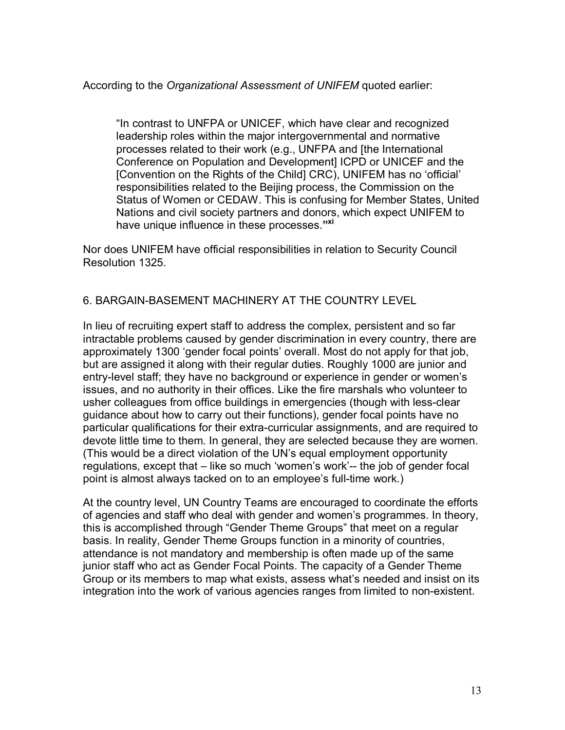#### According to the *Organizational Assessment of UNIFEM* quoted earlier:

"In contrast to UNFPA or UNICEF, which have clear and recognized leadership roles within the major intergovernmental and normative processes related to their work (e.g., UNFPA and [the International Conference on Population and Development] ICPD or UNICEF and the [Convention on the Rights of the Child] CRC), UNIFEM has no 'official' responsibilities related to the Beijing process, the Commission on the Status of Women or CEDAW. This is confusing for Member States, United Nations and civil society partners and donors, which expect UNIFEM to have unique influence in these processes."<sup>xi</sup>

Nor does UNIFEM have official responsibilities in relation to Security Council Resolution 1325.

#### 6. BARGAIN-BASEMENT MACHINERY AT THE COUNTRY LEVEL

In lieu of recruiting expert staff to address the complex, persistent and so far intractable problems caused by gender discrimination in every country, there are approximately 1300 'gender focal points' overall. Most do not apply for that job, but are assigned it along with their regular duties. Roughly 1000 are junior and entry-level staff; they have no background or experience in gender or women's issues, and no authority in their offices. Like the fire marshals who volunteer to usher colleagues from office buildings in emergencies (though with less-clear guidance about how to carry out their functions), gender focal points have no particular qualifications for their extra-curricular assignments, and are required to devote little time to them. In general, they are selected because they are women. (This would be a direct violation of the UN's equal employment opportunity regulations, except that – like so much 'women's work'-- the job of gender focal point is almost always tacked on to an employee's full-time work.)

At the country level, UN Country Teams are encouraged to coordinate the efforts of agencies and staff who deal with gender and women's programmes. In theory, this is accomplished through "Gender Theme Groups" that meet on a regular basis. In reality, Gender Theme Groups function in a minority of countries, attendance is not mandatory and membership is often made up of the same junior staff who act as Gender Focal Points. The capacity of a Gender Theme Group or its members to map what exists, assess what's needed and insist on its integration into the work of various agencies ranges from limited to non-existent.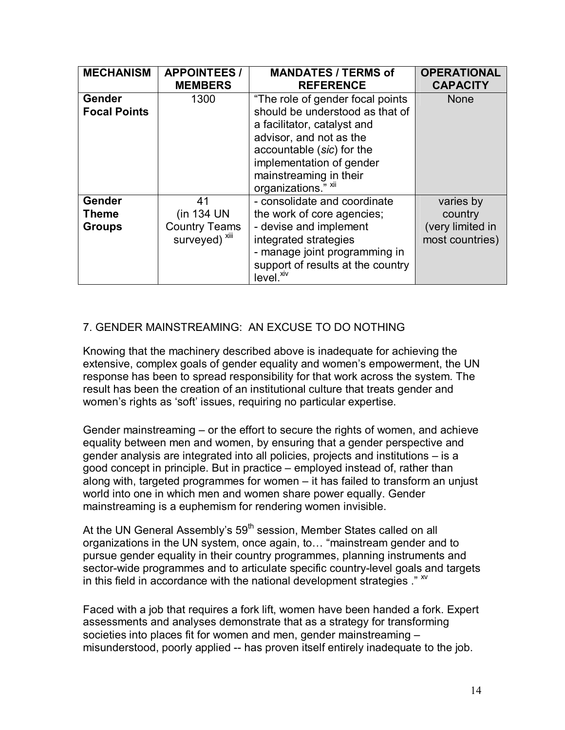| <b>MECHANISM</b>                        | <b>APPOINTEES/</b><br><b>MEMBERS</b>                       | <b>MANDATES / TERMS of</b><br><b>REFERENCE</b>                                                                                                                                                                                          | <b>OPERATIONAL</b><br><b>CAPACITY</b>                       |
|-----------------------------------------|------------------------------------------------------------|-----------------------------------------------------------------------------------------------------------------------------------------------------------------------------------------------------------------------------------------|-------------------------------------------------------------|
| <b>Gender</b><br><b>Focal Points</b>    | 1300                                                       | "The role of gender focal points<br>should be understood as that of<br>a facilitator, catalyst and<br>advisor, and not as the<br>accountable (sic) for the<br>implementation of gender<br>mainstreaming in their<br>organizations." XII | <b>None</b>                                                 |
| Gender<br><b>Theme</b><br><b>Groups</b> | 41<br>(in 134 UN<br><b>Country Teams</b><br>surveyed) xiii | - consolidate and coordinate<br>the work of core agencies;<br>- devise and implement<br>integrated strategies<br>- manage joint programming in<br>support of results at the country<br>level. <sup>xiv</sup>                            | varies by<br>country<br>(very limited in<br>most countries) |

# 7. GENDER MAINSTREAMING: AN EXCUSE TO DO NOTHING

Knowing that the machinery described above is inadequate for achieving the extensive, complex goals of gender equality and women's empowerment, the UN response has been to spread responsibility for that work across the system. The result has been the creation of an institutional culture that treats gender and women's rights as 'soft' issues, requiring no particular expertise.

Gender mainstreaming  $-$  or the effort to secure the rights of women, and achieve equality between men and women, by ensuring that a gender perspective and gender analysis are integrated into all policies, projects and institutions – is a good concept in principle. But in practice – employed instead of, rather than along with, targeted programmes for women  $-$  it has failed to transform an unjust world into one in which men and women share power equally. Gender mainstreaming is a euphemism for rendering women invisible.

At the UN General Assembly's 59<sup>th</sup> session, Member States called on all organizations in the UN system, once again, to... "mainstream gender and to pursue gender equality in their country programmes, planning instruments and sector-wide programmes and to articulate specific country-level goals and targets in this field in accordance with the national development strategies  $\cdot$ "  $\cdot$ "

Faced with a job that requires a fork lift, women have been handed a fork. Expert assessments and analyses demonstrate that as a strategy for transforming societies into places fit for women and men, gender mainstreaming  $$ misunderstood, poorly applied -- has proven itself entirely inadequate to the job.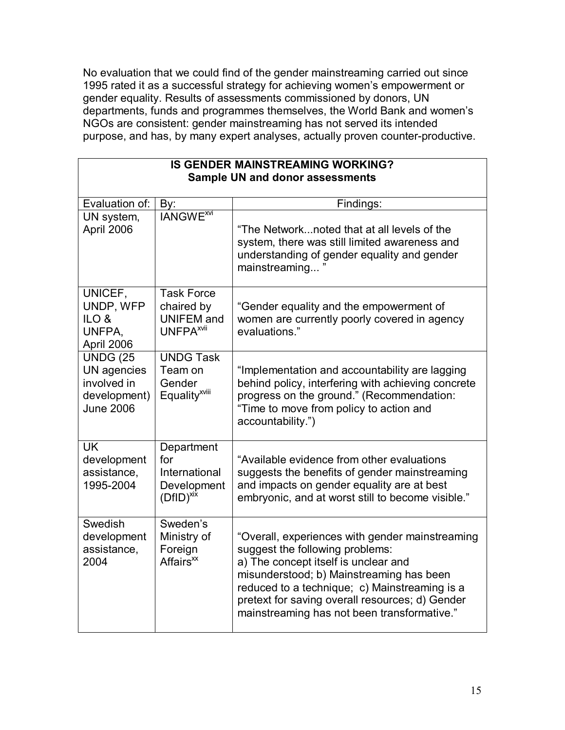No evaluation that we could find of the gender mainstreaming carried out since 1995 rated it as a successful strategy for achieving women's empowerment or gender equality. Results of assessments commissioned by donors, UN departments, funds and programmes themselves, the World Bank and women's NGOs are consistent: gender mainstreaming has not served its intended purpose, and has, by many expert analyses, actually proven counter-productive.

| <b>IS GENDER MAINSTREAMING WORKING?</b><br><b>Sample UN and donor assessments</b>        |                                                                                     |                                                                                                                                                                                                                                                                                                                           |
|------------------------------------------------------------------------------------------|-------------------------------------------------------------------------------------|---------------------------------------------------------------------------------------------------------------------------------------------------------------------------------------------------------------------------------------------------------------------------------------------------------------------------|
| Evaluation of:                                                                           | By:                                                                                 | Findings:                                                                                                                                                                                                                                                                                                                 |
| UN system,<br>April 2006                                                                 | <b>IANGWE</b> <sup>W</sup>                                                          | "The Networknoted that at all levels of the<br>system, there was still limited awareness and<br>understanding of gender equality and gender<br>mainstreaming                                                                                                                                                              |
| UNICEF,<br>UNDP, WFP<br>ILO &<br>UNFPA.<br>April 2006                                    | <b>Task Force</b><br>chaired by<br><b>UNIFEM</b> and<br><b>UNFPA<sup>xvii</sup></b> | "Gender equality and the empowerment of<br>women are currently poorly covered in agency<br>evaluations."                                                                                                                                                                                                                  |
| <b>UNDG (25</b><br><b>UN</b> agencies<br>involved in<br>development)<br><b>June 2006</b> | <b>UNDG Task</b><br>Team on<br>Gender<br>Equality <sup>xviii</sup>                  | "Implementation and accountability are lagging<br>behind policy, interfering with achieving concrete<br>progress on the ground." (Recommendation:<br>"Time to move from policy to action and<br>accountability.")                                                                                                         |
| <b>UK</b><br>development<br>assistance,<br>1995-2004                                     | Department<br>for<br>International<br>Development<br>$(DfID)^{xix}$                 | "Available evidence from other evaluations<br>suggests the benefits of gender mainstreaming<br>and impacts on gender equality are at best<br>embryonic, and at worst still to become visible."                                                                                                                            |
| Swedish<br>development<br>assistance,<br>2004                                            | Sweden's<br>Ministry of<br>Foreign<br>Affairs <sup>xx</sup>                         | "Overall, experiences with gender mainstreaming<br>suggest the following problems:<br>a) The concept itself is unclear and<br>misunderstood; b) Mainstreaming has been<br>reduced to a technique; c) Mainstreaming is a<br>pretext for saving overall resources; d) Gender<br>mainstreaming has not been transformative." |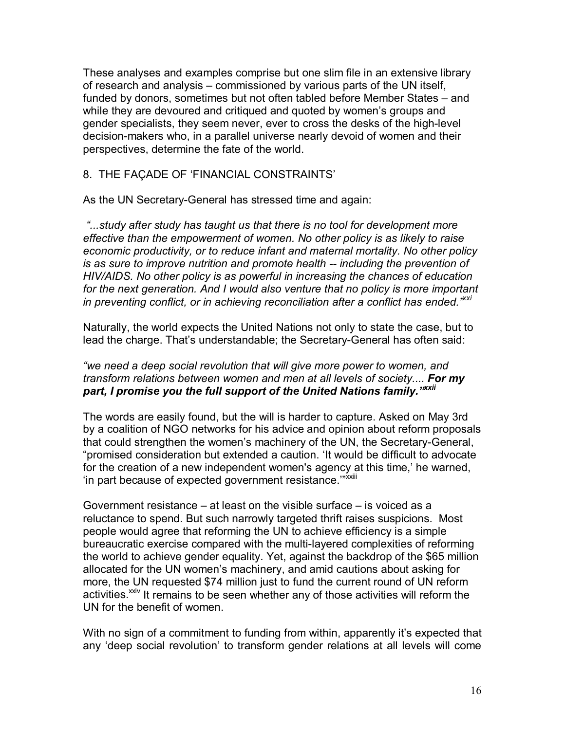These analyses and examples comprise but one slim file in an extensive library of research and analysis – commissioned by various parts of the UN itself, funded by donors, sometimes but not often tabled before Member States – and while they are devoured and critiqued and quoted by women's groups and gender specialists, they seem never, ever to cross the desks of the high-level decision-makers who, in a parallel universe nearly devoid of women and their perspectives, determine the fate of the world.

#### 8. THE FAÇADE OF 'FINANCIAL CONSTRAINTS'

As the UN Secretary-General has stressed time and again:

 *ì...study after study has taught us that there is no tool for development more effective than the empowerment of women. No other policy is as likely to raise economic productivity, or to reduce infant and maternal mortality. No other policy is as sure to improve nutrition and promote health -- including the prevention of HIV/AIDS. No other policy is as powerful in increasing the chances of education*  for the next generation. And I would also venture that no policy is more important *in preventing conflict, or in achieving reconciliation after a conflict has ended.*<sup>\*\*\*\*</sup>

Naturally, the world expects the United Nations not only to state the case, but to lead the charge. That's understandable; the Secretary-General has often said:

#### *ìwe need a deep social revolution that will give more power to women, and transform relations between women and men at all levels of society.... For my*  part, I promise you the full support of the United Nations family.<sup>"\*xii</sup>

The words are easily found, but the will is harder to capture. Asked on May 3rd by a coalition of NGO networks for his advice and opinion about reform proposals that could strengthen the women's machinery of the UN, the Secretary-General, "promised consideration but extended a caution. 'It would be difficult to advocate for the creation of a new independent women's agency at this time,' he warned, 'in part because of expected government resistance.""XXIII

Government resistance  $-$  at least on the visible surface  $-$  is voiced as a reluctance to spend. But such narrowly targeted thrift raises suspicions. Most people would agree that reforming the UN to achieve efficiency is a simple bureaucratic exercise compared with the multi-layered complexities of reforming the world to achieve gender equality. Yet, against the backdrop of the \$65 million allocated for the UN women's machinery, and amid cautions about asking for more, the UN requested \$74 million just to fund the current round of UN reform activities.<sup>XXIV</sup> It remains to be seen whether any of those activities will reform the UN for the benefit of women.

With no sign of a commitment to funding from within, apparently it's expected that any 'deep social revolution' to transform gender relations at all levels will come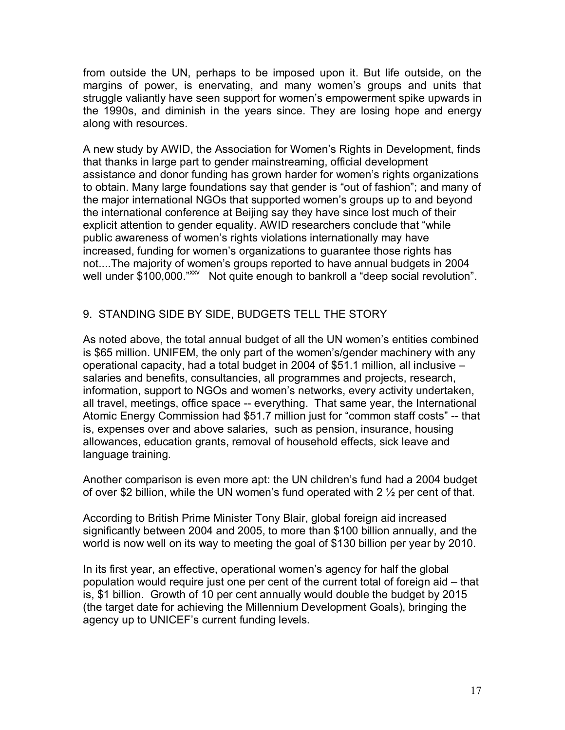from outside the UN, perhaps to be imposed upon it. But life outside, on the margins of power, is enervating, and many women's groups and units that struggle valiantly have seen support for women's empowerment spike upwards in the 1990s, and diminish in the years since. They are losing hope and energy along with resources.

A new study by AWID, the Association for Womenís Rights in Development, finds that thanks in large part to gender mainstreaming, official development assistance and donor funding has grown harder for womenís rights organizations to obtain. Many large foundations say that gender is "out of fashion"; and many of the major international NGOs that supported women's groups up to and beyond the international conference at Beijing say they have since lost much of their explicit attention to gender equality. AWID researchers conclude that "while public awareness of women's rights violations internationally may have increased, funding for women's organizations to guarantee those rights has not....The majority of women's groups reported to have annual budgets in 2004 well under  $$100,000."$ <sup>xxv</sup> Not quite enough to bankroll a "deep social revolution".

# 9. STANDING SIDE BY SIDE, BUDGETS TELL THE STORY

As noted above, the total annual budget of all the UN women's entities combined is \$65 million. UNIFEM, the only part of the women's/gender machinery with any operational capacity, had a total budget in 2004 of \$51.1 million, all inclusive  $$ salaries and benefits, consultancies, all programmes and projects, research, information, support to NGOs and women's networks, every activity undertaken, all travel, meetings, office space -- everything. That same year, the International Atomic Energy Commission had \$51.7 million just for "common staff costs" -- that is, expenses over and above salaries, such as pension, insurance, housing allowances, education grants, removal of household effects, sick leave and language training.

Another comparison is even more apt: the UN childrenís fund had a 2004 budget of over \$2 billion, while the UN women's fund operated with  $2\frac{1}{2}$  per cent of that.

According to British Prime Minister Tony Blair, global foreign aid increased significantly between 2004 and 2005, to more than \$100 billion annually, and the world is now well on its way to meeting the goal of \$130 billion per year by 2010.

In its first year, an effective, operational women's agency for half the global population would require just one per cent of the current total of foreign aid – that is, \$1 billion. Growth of 10 per cent annually would double the budget by 2015 (the target date for achieving the Millennium Development Goals), bringing the agency up to UNICEF's current funding levels.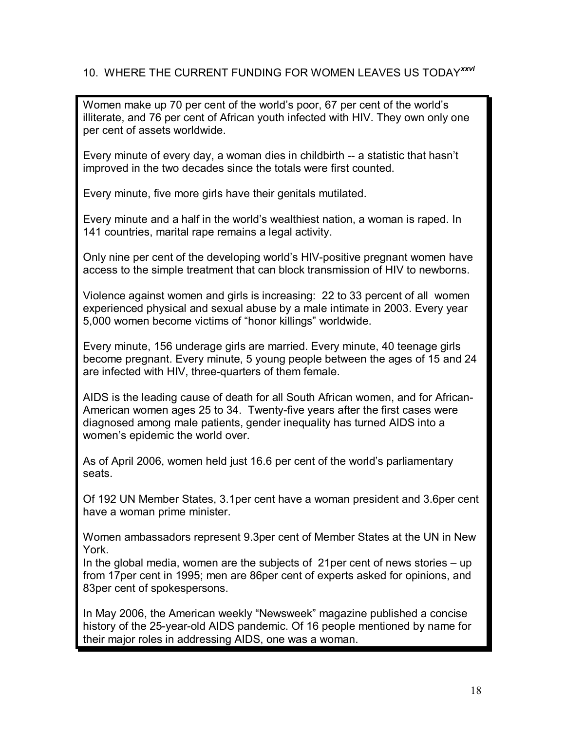# 10. WHERE THE CURRENT FUNDING FOR WOMEN LEAVES US TODAY*xxvi*

Women make up 70 per cent of the world's poor, 67 per cent of the world's illiterate, and 76 per cent of African youth infected with HIV. They own only one per cent of assets worldwide.

Every minute of every day, a woman dies in childbirth -- a statistic that hasnít improved in the two decades since the totals were first counted.

Every minute, five more girls have their genitals mutilated.

Every minute and a half in the world's wealthiest nation, a woman is raped. In 141 countries, marital rape remains a legal activity.

Only nine per cent of the developing world's HIV-positive pregnant women have access to the simple treatment that can block transmission of HIV to newborns.

Violence against women and girls is increasing: 22 to 33 percent of all women experienced physical and sexual abuse by a male intimate in 2003. Every year 5,000 women become victims of "honor killings" worldwide.

Every minute, 156 underage girls are married. Every minute, 40 teenage girls become pregnant. Every minute, 5 young people between the ages of 15 and 24 are infected with HIV, three-quarters of them female.

AIDS is the leading cause of death for all South African women, and for African-American women ages 25 to 34. Twenty-five years after the first cases were diagnosed among male patients, gender inequality has turned AIDS into a women's epidemic the world over.

As of April 2006, women held just 16.6 per cent of the world's parliamentary seats.

Of 192 UN Member States, 3.1per cent have a woman president and 3.6per cent have a woman prime minister.

Women ambassadors represent 9.3per cent of Member States at the UN in New York.

In the global media, women are the subjects of  $21$  per cent of news stories – up from 17per cent in 1995; men are 86per cent of experts asked for opinions, and 83per cent of spokespersons.

In May 2006, the American weekly "Newsweek" magazine published a concise history of the 25-year-old AIDS pandemic. Of 16 people mentioned by name for their major roles in addressing AIDS, one was a woman.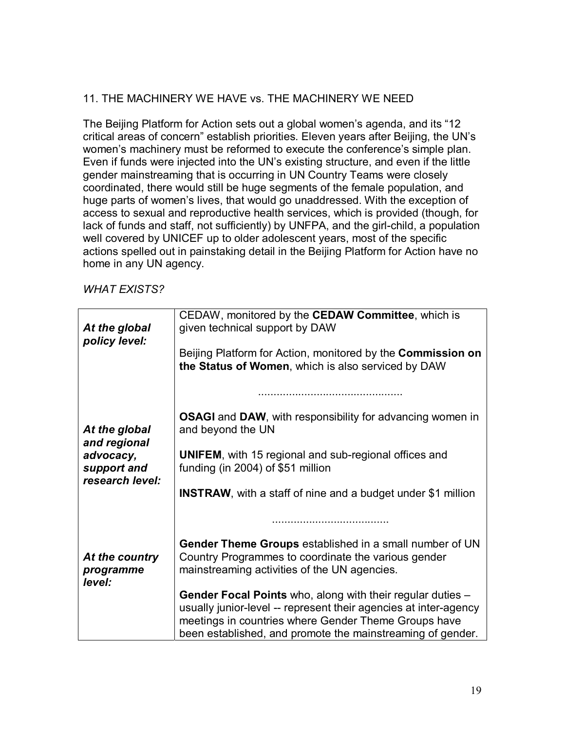# 11. THE MACHINERY WE HAVE vs. THE MACHINERY WE NEED

The Beijing Platform for Action sets out a global women's agenda, and its "12 critical areas of concern" establish priorities. Eleven years after Beijing, the UN's women's machinery must be reformed to execute the conference's simple plan. Even if funds were injected into the UN's existing structure, and even if the little gender mainstreaming that is occurring in UN Country Teams were closely coordinated, there would still be huge segments of the female population, and huge parts of women's lives, that would go unaddressed. With the exception of access to sexual and reproductive health services, which is provided (though, for lack of funds and staff, not sufficiently) by UNFPA, and the girl-child, a population well covered by UNICEF up to older adolescent years, most of the specific actions spelled out in painstaking detail in the Beijing Platform for Action have no home in any UN agency.

*WHAT EXISTS?* 

| At the global<br>policy level:              | CEDAW, monitored by the CEDAW Committee, which is<br>given technical support by DAW                                                                                                                                                                         |
|---------------------------------------------|-------------------------------------------------------------------------------------------------------------------------------------------------------------------------------------------------------------------------------------------------------------|
|                                             | Beijing Platform for Action, monitored by the Commission on<br>the Status of Women, which is also serviced by DAW                                                                                                                                           |
|                                             |                                                                                                                                                                                                                                                             |
| At the global<br>and regional               | <b>OSAGI</b> and <b>DAW</b> , with responsibility for advancing women in<br>and beyond the UN                                                                                                                                                               |
| advocacy,<br>support and<br>research level: | <b>UNIFEM, with 15 regional and sub-regional offices and</b><br>funding (in $2004$ ) of \$51 million                                                                                                                                                        |
|                                             | <b>INSTRAW,</b> with a staff of nine and a budget under \$1 million                                                                                                                                                                                         |
|                                             |                                                                                                                                                                                                                                                             |
| At the country<br>programme                 | <b>Gender Theme Groups</b> established in a small number of UN<br>Country Programmes to coordinate the various gender<br>mainstreaming activities of the UN agencies.                                                                                       |
| level:                                      |                                                                                                                                                                                                                                                             |
|                                             | <b>Gender Focal Points</b> who, along with their regular duties –<br>usually junior-level -- represent their agencies at inter-agency<br>meetings in countries where Gender Theme Groups have<br>been established, and promote the mainstreaming of gender. |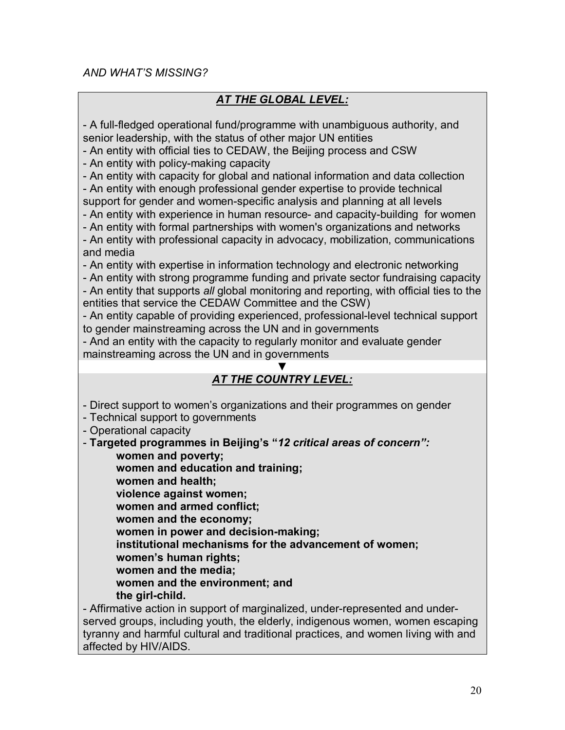# *AND WHATíS MISSING?*

# *AT THE GLOBAL LEVEL:*

- A full-fledged operational fund/programme with unambiguous authority, and senior leadership, with the status of other major UN entities

- An entity with official ties to CEDAW, the Beijing process and CSW

- An entity with policy-making capacity

- An entity with capacity for global and national information and data collection

- An entity with enough professional gender expertise to provide technical

support for gender and women-specific analysis and planning at all levels

- An entity with experience in human resource- and capacity-building for women

- An entity with formal partnerships with women's organizations and networks - An entity with professional capacity in advocacy, mobilization, communications and media

- An entity with expertise in information technology and electronic networking

- An entity with strong programme funding and private sector fundraising capacity - An entity that supports *all* global monitoring and reporting, with official ties to the entities that service the CEDAW Committee and the CSW)

- An entity capable of providing experienced, professional-level technical support to gender mainstreaming across the UN and in governments

- And an entity with the capacity to regularly monitor and evaluate gender mainstreaming across the UN and in governments

#### *▼ AT THE COUNTRY LEVEL:*

- Direct support to women's organizations and their programmes on gender

- Technical support to governments

- Operational capacity

- Targeted programmes in Beijing's "12 critical areas of concern":

 **women and poverty;** 

 **women and education and training;** 

 **women and health;** 

 **violence against women;** 

 **women and armed conflict;** 

 **women and the economy;** 

 **women in power and decision-making;** 

 **institutional mechanisms for the advancement of women;** 

- **womenís human rights;**
- **women and the media;**

# **women and the environment; and**

 **the girl-child.** 

- Affirmative action in support of marginalized, under-represented and underserved groups, including youth, the elderly, indigenous women, women escaping tyranny and harmful cultural and traditional practices, and women living with and affected by HIV/AIDS.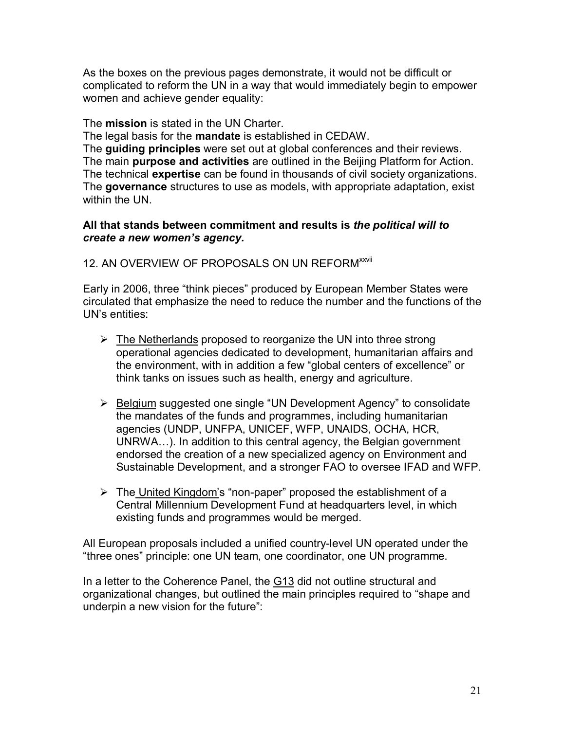As the boxes on the previous pages demonstrate, it would not be difficult or complicated to reform the UN in a way that would immediately begin to empower women and achieve gender equality:

#### The **mission** is stated in the UN Charter.

The legal basis for the **mandate** is established in CEDAW.

The **guiding principles** were set out at global conferences and their reviews. The main **purpose and activities** are outlined in the Beijing Platform for Action. The technical **expertise** can be found in thousands of civil society organizations. The **governance** structures to use as models, with appropriate adaptation, exist within the UN.

#### **All that stands between commitment and results is** *the political will to create a new womenís agency.*

# 12. AN OVERVIEW OF PROPOSALS ON UN REFORM<sup>XXVII</sup>

Early in 2006, three "think pieces" produced by European Member States were circulated that emphasize the need to reduce the number and the functions of the UN's entities:

- $\triangleright$  The Netherlands proposed to reorganize the UN into three strong operational agencies dedicated to development, humanitarian affairs and the environment, with in addition a few "global centers of excellence" or think tanks on issues such as health, energy and agriculture.
- $\triangleright$  Belgium suggested one single "UN Development Agency" to consolidate the mandates of the funds and programmes, including humanitarian agencies (UNDP, UNFPA, UNICEF, WFP, UNAIDS, OCHA, HCR, UNRWA...). In addition to this central agency, the Belgian government endorsed the creation of a new specialized agency on Environment and Sustainable Development, and a stronger FAO to oversee IFAD and WFP.
- $\triangleright$  The United Kingdom's "non-paper" proposed the establishment of a Central Millennium Development Fund at headquarters level, in which existing funds and programmes would be merged.

All European proposals included a unified country-level UN operated under the "three ones" principle: one UN team, one coordinator, one UN programme.

In a letter to the Coherence Panel, the G13 did not outline structural and organizational changes, but outlined the main principles required to "shape and underpin a new vision for the future".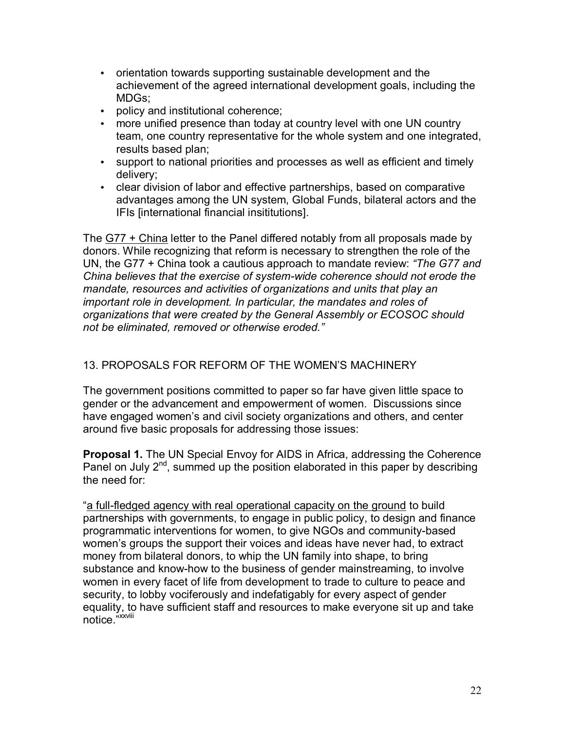- orientation towards supporting sustainable development and the achievement of the agreed international development goals, including the MDGs;
- policy and institutional coherence;
- more unified presence than today at country level with one UN country team, one country representative for the whole system and one integrated, results based plan;
- support to national priorities and processes as well as efficient and timely delivery;
- clear division of labor and effective partnerships, based on comparative advantages among the UN system, Global Funds, bilateral actors and the IFIs [international financial insititutions].

The G77 + China letter to the Panel differed notably from all proposals made by donors. While recognizing that reform is necessary to strengthen the role of the UN, the G77 + China took a cautious approach to mandate review: *ìThe G77 and China believes that the exercise of system-wide coherence should not erode the mandate, resources and activities of organizations and units that play an important role in development. In particular, the mandates and roles of organizations that were created by the General Assembly or ECOSOC should not be eliminated, removed or otherwise eroded.î* 

#### 13. PROPOSALS FOR REFORM OF THE WOMEN'S MACHINERY

The government positions committed to paper so far have given little space to gender or the advancement and empowerment of women. Discussions since have engaged women's and civil society organizations and others, and center around five basic proposals for addressing those issues:

**Proposal 1.** The UN Special Envoy for AIDS in Africa, addressing the Coherence Panel on July  $2<sup>nd</sup>$ , summed up the position elaborated in this paper by describing the need for:

ìa full-fledged agency with real operational capacity on the ground to build partnerships with governments, to engage in public policy, to design and finance programmatic interventions for women, to give NGOs and community-based women's groups the support their voices and ideas have never had, to extract money from bilateral donors, to whip the UN family into shape, to bring substance and know-how to the business of gender mainstreaming, to involve women in every facet of life from development to trade to culture to peace and security, to lobby vociferously and indefatigably for every aspect of gender equality, to have sufficient staff and resources to make everyone sit up and take notice.<sup>"xxviii</sup>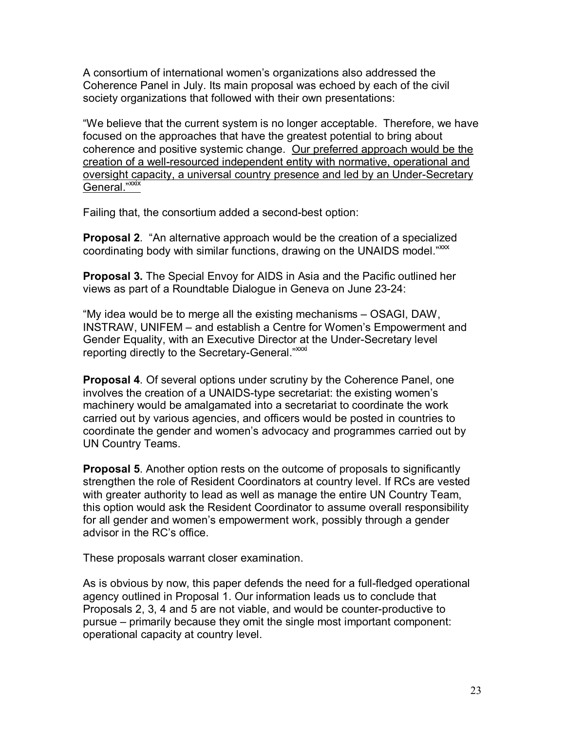A consortium of international womenís organizations also addressed the Coherence Panel in July. Its main proposal was echoed by each of the civil society organizations that followed with their own presentations:

ìWe believe that the current system is no longer acceptable. Therefore, we have focused on the approaches that have the greatest potential to bring about coherence and positive systemic change. Our preferred approach would be the creation of a well-resourced independent entity with normative, operational and oversight capacity, a universal country presence and led by an Under-Secretary General."<sup>xxix</sup>

Failing that, the consortium added a second-best option:

**Proposal 2.** "An alternative approach would be the creation of a specialized coordinating body with similar functions, drawing on the UNAIDS model. $\frac{30}{20}$ 

**Proposal 3.** The Special Envoy for AIDS in Asia and the Pacific outlined her views as part of a Roundtable Dialogue in Geneva on June 23-24:

ìMy idea would be to merge all the existing mechanisms ñ OSAGI, DAW, INSTRAW, UNIFEM – and establish a Centre for Women's Empowerment and Gender Equality, with an Executive Director at the Under-Secretary level reporting directly to the Secretary-General."<sup>XXXi</sup>

**Proposal 4**. Of several options under scrutiny by the Coherence Panel, one involves the creation of a UNAIDS-type secretariat: the existing women's machinery would be amalgamated into a secretariat to coordinate the work carried out by various agencies, and officers would be posted in countries to coordinate the gender and women's advocacy and programmes carried out by UN Country Teams.

**Proposal 5**. Another option rests on the outcome of proposals to significantly strengthen the role of Resident Coordinators at country level. If RCs are vested with greater authority to lead as well as manage the entire UN Country Team, this option would ask the Resident Coordinator to assume overall responsibility for all gender and women's empowerment work, possibly through a gender advisor in the RC's office.

These proposals warrant closer examination.

As is obvious by now, this paper defends the need for a full-fledged operational agency outlined in Proposal 1. Our information leads us to conclude that Proposals 2, 3, 4 and 5 are not viable, and would be counter-productive to pursue – primarily because they omit the single most important component: operational capacity at country level.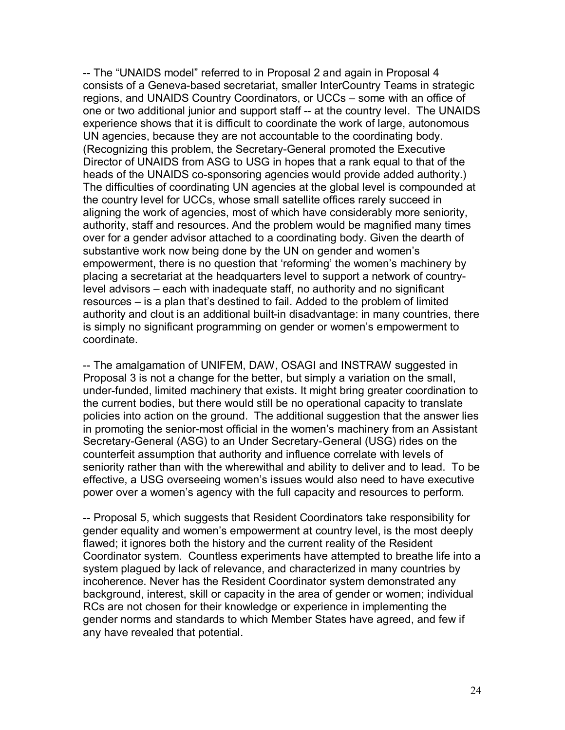-- The "UNAIDS model" referred to in Proposal 2 and again in Proposal 4 consists of a Geneva-based secretariat, smaller InterCountry Teams in strategic regions, and UNAIDS Country Coordinators, or UCCs – some with an office of one or two additional junior and support staff -- at the country level. The UNAIDS experience shows that it is difficult to coordinate the work of large, autonomous UN agencies, because they are not accountable to the coordinating body. (Recognizing this problem, the Secretary-General promoted the Executive Director of UNAIDS from ASG to USG in hopes that a rank equal to that of the heads of the UNAIDS co-sponsoring agencies would provide added authority.) The difficulties of coordinating UN agencies at the global level is compounded at the country level for UCCs, whose small satellite offices rarely succeed in aligning the work of agencies, most of which have considerably more seniority, authority, staff and resources. And the problem would be magnified many times over for a gender advisor attached to a coordinating body. Given the dearth of substantive work now being done by the UN on gender and women's empowerment, there is no question that 'reforming' the women's machinery by placing a secretariat at the headquarters level to support a network of countrylevel advisors – each with inadequate staff, no authority and no significant resources – is a plan that's destined to fail. Added to the problem of limited authority and clout is an additional built-in disadvantage: in many countries, there is simply no significant programming on gender or women's empowerment to coordinate.

-- The amalgamation of UNIFEM, DAW, OSAGI and INSTRAW suggested in Proposal 3 is not a change for the better, but simply a variation on the small, under-funded, limited machinery that exists. It might bring greater coordination to the current bodies, but there would still be no operational capacity to translate policies into action on the ground. The additional suggestion that the answer lies in promoting the senior-most official in the women's machinery from an Assistant Secretary-General (ASG) to an Under Secretary-General (USG) rides on the counterfeit assumption that authority and influence correlate with levels of seniority rather than with the wherewithal and ability to deliver and to lead. To be effective, a USG overseeing women's issues would also need to have executive power over a womenís agency with the full capacity and resources to perform.

-- Proposal 5, which suggests that Resident Coordinators take responsibility for gender equality and women's empowerment at country level, is the most deeply flawed; it ignores both the history and the current reality of the Resident Coordinator system. Countless experiments have attempted to breathe life into a system plagued by lack of relevance, and characterized in many countries by incoherence. Never has the Resident Coordinator system demonstrated any background, interest, skill or capacity in the area of gender or women; individual RCs are not chosen for their knowledge or experience in implementing the gender norms and standards to which Member States have agreed, and few if any have revealed that potential.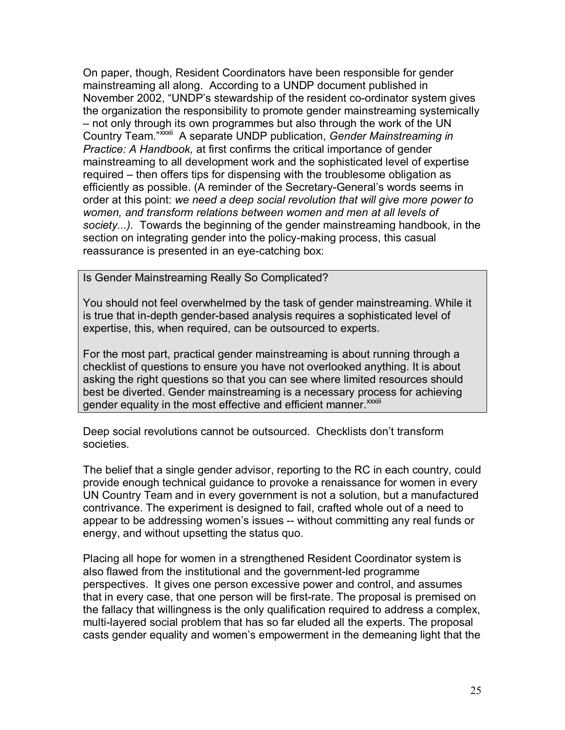On paper, though, Resident Coordinators have been responsible for gender mainstreaming all along. According to a UNDP document published in November 2002, "UNDP's stewardship of the resident co-ordinator system gives the organization the responsibility to promote gender mainstreaming systemically – not only through its own programmes but also through the work of the UN Country Team.<sup>nXXXII</sup> A separate UNDP publication, *Gender Mainstreaming in Practice: A Handbook,* at first confirms the critical importance of gender mainstreaming to all development work and the sophisticated level of expertise required – then offers tips for dispensing with the troublesome obligation as efficiently as possible. (A reminder of the Secretary-General's words seems in order at this point: *we need a deep social revolution that will give more power to women, and transform relations between women and men at all levels of society...).* Towards the beginning of the gender mainstreaming handbook, in the section on integrating gender into the policy-making process, this casual reassurance is presented in an eye-catching box:

Is Gender Mainstreaming Really So Complicated?

You should not feel overwhelmed by the task of gender mainstreaming. While it is true that in-depth gender-based analysis requires a sophisticated level of expertise, this, when required, can be outsourced to experts.

For the most part, practical gender mainstreaming is about running through a checklist of questions to ensure you have not overlooked anything. It is about asking the right questions so that you can see where limited resources should best be diverted. Gender mainstreaming is a necessary process for achieving gender equality in the most effective and efficient manner.<sup>xxxiii</sup>

Deep social revolutions cannot be outsourced. Checklists don't transform societies.

The belief that a single gender advisor, reporting to the RC in each country, could provide enough technical guidance to provoke a renaissance for women in every UN Country Team and in every government is not a solution, but a manufactured contrivance. The experiment is designed to fail, crafted whole out of a need to appear to be addressing women's issues -- without committing any real funds or energy, and without upsetting the status quo.

Placing all hope for women in a strengthened Resident Coordinator system is also flawed from the institutional and the government-led programme perspectives. It gives one person excessive power and control, and assumes that in every case, that one person will be first-rate. The proposal is premised on the fallacy that willingness is the only qualification required to address a complex, multi-layered social problem that has so far eluded all the experts. The proposal casts gender equality and women's empowerment in the demeaning light that the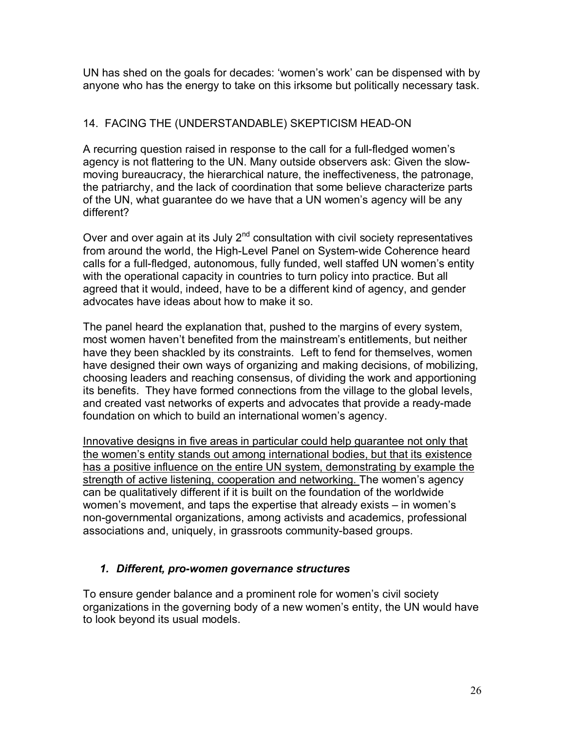UN has shed on the goals for decades: 'women's work' can be dispensed with by anyone who has the energy to take on this irksome but politically necessary task.

# 14. FACING THE (UNDERSTANDABLE) SKEPTICISM HEAD-ON

A recurring question raised in response to the call for a full-fledged womenís agency is not flattering to the UN. Many outside observers ask: Given the slowmoving bureaucracy, the hierarchical nature, the ineffectiveness, the patronage, the patriarchy, and the lack of coordination that some believe characterize parts of the UN, what guarantee do we have that a UN women's agency will be any different?

Over and over again at its July  $2<sup>nd</sup>$  consultation with civil society representatives from around the world, the High-Level Panel on System-wide Coherence heard calls for a full-fledged, autonomous, fully funded, well staffed UN womenís entity with the operational capacity in countries to turn policy into practice. But all agreed that it would, indeed, have to be a different kind of agency, and gender advocates have ideas about how to make it so.

The panel heard the explanation that, pushed to the margins of every system, most women haven't benefited from the mainstream's entitlements, but neither have they been shackled by its constraints. Left to fend for themselves, women have designed their own ways of organizing and making decisions, of mobilizing, choosing leaders and reaching consensus, of dividing the work and apportioning its benefits. They have formed connections from the village to the global levels, and created vast networks of experts and advocates that provide a ready-made foundation on which to build an international women's agency.

Innovative designs in five areas in particular could help guarantee not only that the women's entity stands out among international bodies, but that its existence has a positive influence on the entire UN system, demonstrating by example the strength of active listening, cooperation and networking. The women's agency can be qualitatively different if it is built on the foundation of the worldwide women's movement, and taps the expertise that already exists – in women's non-governmental organizations, among activists and academics, professional associations and, uniquely, in grassroots community-based groups.

# *1. Different, pro-women governance structures*

To ensure gender balance and a prominent role for womenís civil society organizations in the governing body of a new women's entity, the UN would have to look beyond its usual models.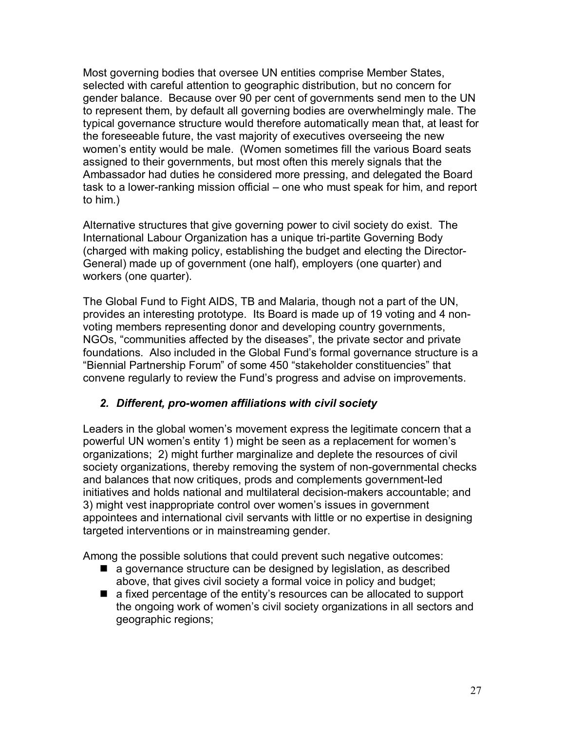Most governing bodies that oversee UN entities comprise Member States, selected with careful attention to geographic distribution, but no concern for gender balance. Because over 90 per cent of governments send men to the UN to represent them, by default all governing bodies are overwhelmingly male. The typical governance structure would therefore automatically mean that, at least for the foreseeable future, the vast majority of executives overseeing the new women's entity would be male. (Women sometimes fill the various Board seats assigned to their governments, but most often this merely signals that the Ambassador had duties he considered more pressing, and delegated the Board task to a lower-ranking mission official – one who must speak for him, and report to him.)

Alternative structures that give governing power to civil society do exist. The International Labour Organization has a unique tri-partite Governing Body (charged with making policy, establishing the budget and electing the Director-General) made up of government (one half), employers (one quarter) and workers (one quarter).

The Global Fund to Fight AIDS, TB and Malaria, though not a part of the UN, provides an interesting prototype. Its Board is made up of 19 voting and 4 nonvoting members representing donor and developing country governments, NGOs, "communities affected by the diseases", the private sector and private foundations. Also included in the Global Fund's formal governance structure is a "Biennial Partnership Forum" of some 450 "stakeholder constituencies" that convene regularly to review the Fundís progress and advise on improvements.

# *2. Different, pro-women affiliations with civil society*

Leaders in the global women's movement express the legitimate concern that a powerful UN women's entity 1) might be seen as a replacement for women's organizations; 2) might further marginalize and deplete the resources of civil society organizations, thereby removing the system of non-governmental checks and balances that now critiques, prods and complements government-led initiatives and holds national and multilateral decision-makers accountable; and 3) might vest inappropriate control over women's issues in government appointees and international civil servants with little or no expertise in designing targeted interventions or in mainstreaming gender.

Among the possible solutions that could prevent such negative outcomes:

- $\blacksquare$  a governance structure can be designed by legislation, as described above, that gives civil society a formal voice in policy and budget;
- a fixed percentage of the entity's resources can be allocated to support the ongoing work of women's civil society organizations in all sectors and geographic regions;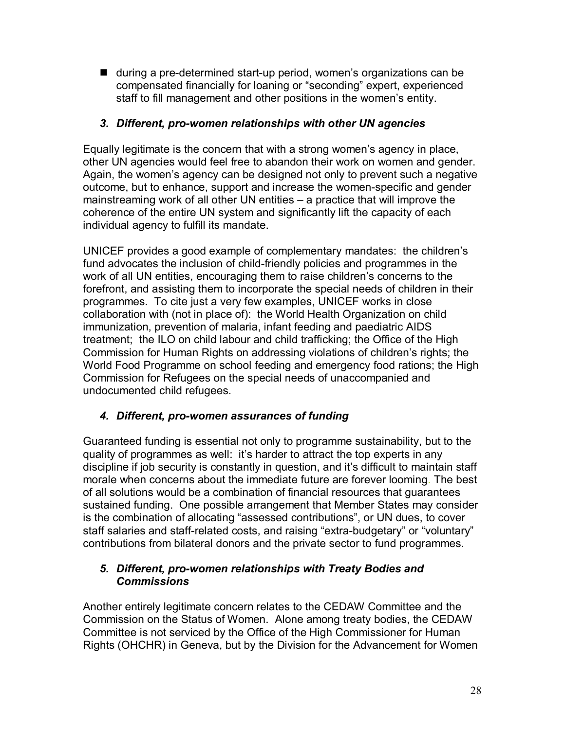$\blacksquare$  during a pre-determined start-up period, women's organizations can be compensated financially for loaning or "seconding" expert, experienced staff to fill management and other positions in the women's entity.

# *3. Different, pro-women relationships with other UN agencies*

Equally legitimate is the concern that with a strong women's agency in place, other UN agencies would feel free to abandon their work on women and gender. Again, the women's agency can be designed not only to prevent such a negative outcome, but to enhance, support and increase the women-specific and gender mainstreaming work of all other UN entities  $-$  a practice that will improve the coherence of the entire UN system and significantly lift the capacity of each individual agency to fulfill its mandate.

UNICEF provides a good example of complementary mandates: the childrenís fund advocates the inclusion of child-friendly policies and programmes in the work of all UN entities, encouraging them to raise children's concerns to the forefront, and assisting them to incorporate the special needs of children in their programmes. To cite just a very few examples, UNICEF works in close collaboration with (not in place of): the World Health Organization on child immunization, prevention of malaria, infant feeding and paediatric AIDS treatment; the ILO on child labour and child trafficking; the Office of the High Commission for Human Rights on addressing violations of children's rights; the World Food Programme on school feeding and emergency food rations; the High Commission for Refugees on the special needs of unaccompanied and undocumented child refugees.

# *4. Different, pro-women assurances of funding*

Guaranteed funding is essential not only to programme sustainability, but to the quality of programmes as well: it's harder to attract the top experts in any discipline if job security is constantly in question, and it's difficult to maintain staff morale when concerns about the immediate future are forever looming. The best of all solutions would be a combination of financial resources that guarantees sustained funding. One possible arrangement that Member States may consider is the combination of allocating "assessed contributions", or UN dues, to cover staff salaries and staff-related costs, and raising "extra-budgetary" or "voluntary" contributions from bilateral donors and the private sector to fund programmes.

# *5. Different, pro-women relationships with Treaty Bodies and Commissions*

Another entirely legitimate concern relates to the CEDAW Committee and the Commission on the Status of Women. Alone among treaty bodies, the CEDAW Committee is not serviced by the Office of the High Commissioner for Human Rights (OHCHR) in Geneva, but by the Division for the Advancement for Women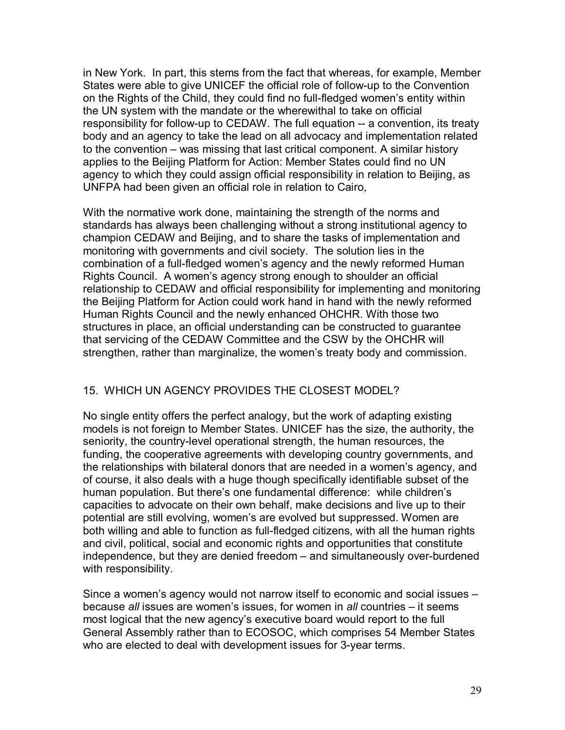in New York. In part, this stems from the fact that whereas, for example, Member States were able to give UNICEF the official role of follow-up to the Convention on the Rights of the Child, they could find no full-fledged women's entity within the UN system with the mandate or the wherewithal to take on official responsibility for follow-up to CEDAW. The full equation -- a convention, its treaty body and an agency to take the lead on all advocacy and implementation related to the convention  $-$  was missing that last critical component. A similar history applies to the Beijing Platform for Action: Member States could find no UN agency to which they could assign official responsibility in relation to Beijing, as UNFPA had been given an official role in relation to Cairo,

With the normative work done, maintaining the strength of the norms and standards has always been challenging without a strong institutional agency to champion CEDAW and Beijing, and to share the tasks of implementation and monitoring with governments and civil society. The solution lies in the combination of a full-fledged women's agency and the newly reformed Human Rights Council. A women's agency strong enough to shoulder an official relationship to CEDAW and official responsibility for implementing and monitoring the Beijing Platform for Action could work hand in hand with the newly reformed Human Rights Council and the newly enhanced OHCHR. With those two structures in place, an official understanding can be constructed to guarantee that servicing of the CEDAW Committee and the CSW by the OHCHR will strengthen, rather than marginalize, the women's treaty body and commission.

# 15. WHICH UN AGENCY PROVIDES THE CLOSEST MODEL?

No single entity offers the perfect analogy, but the work of adapting existing models is not foreign to Member States. UNICEF has the size, the authority, the seniority, the country-level operational strength, the human resources, the funding, the cooperative agreements with developing country governments, and the relationships with bilateral donors that are needed in a women's agency, and of course, it also deals with a huge though specifically identifiable subset of the human population. But there's one fundamental difference: while children's capacities to advocate on their own behalf, make decisions and live up to their potential are still evolving, women's are evolved but suppressed. Women are both willing and able to function as full-fledged citizens, with all the human rights and civil, political, social and economic rights and opportunities that constitute independence, but they are denied freedom – and simultaneously over-burdened with responsibility.

Since a women's agency would not narrow itself to economic and social issues – because *all* issues are women's issues, for women in *all* countries – it seems most logical that the new agencyís executive board would report to the full General Assembly rather than to ECOSOC, which comprises 54 Member States who are elected to deal with development issues for 3-year terms.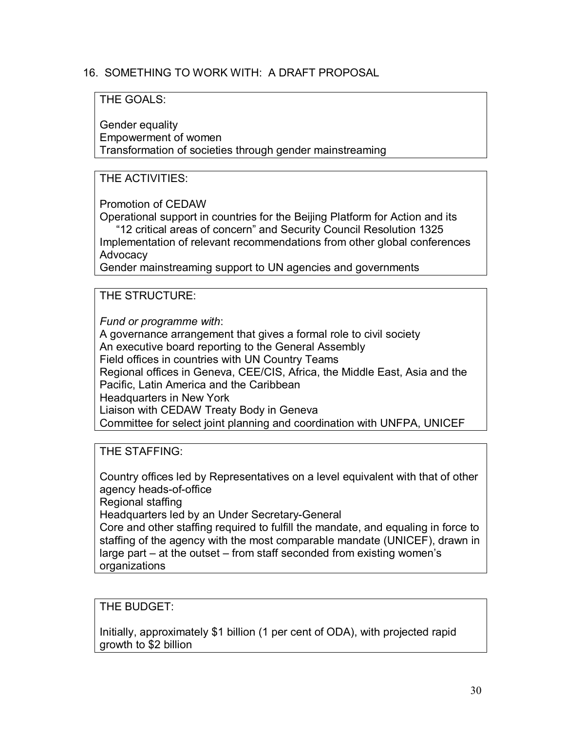# 16. SOMETHING TO WORK WITH: A DRAFT PROPOSAL

# THE GOALS:

Gender equality Empowerment of women Transformation of societies through gender mainstreaming

#### THE ACTIVITIES:

Promotion of CEDAW

Operational support in countries for the Beijing Platform for Action and its ì12 critical areas of concernî and Security Council Resolution 1325 Implementation of relevant recommendations from other global conferences Advocacy

Gender mainstreaming support to UN agencies and governments

THE STRUCTURE:

*Fund or programme with*:

A governance arrangement that gives a formal role to civil society An executive board reporting to the General Assembly Field offices in countries with UN Country Teams Regional offices in Geneva, CEE/CIS, Africa, the Middle East, Asia and the Pacific, Latin America and the Caribbean Headquarters in New York Liaison with CEDAW Treaty Body in Geneva Committee for select joint planning and coordination with UNFPA, UNICEF

THE STAFFING:

Country offices led by Representatives on a level equivalent with that of other agency heads-of-office

Regional staffing

Headquarters led by an Under Secretary-General

Core and other staffing required to fulfill the mandate, and equaling in force to staffing of the agency with the most comparable mandate (UNICEF), drawn in large part  $-$  at the outset  $-$  from staff seconded from existing women's organizations

#### THE BUDGET:

Initially, approximately \$1 billion (1 per cent of ODA), with projected rapid growth to \$2 billion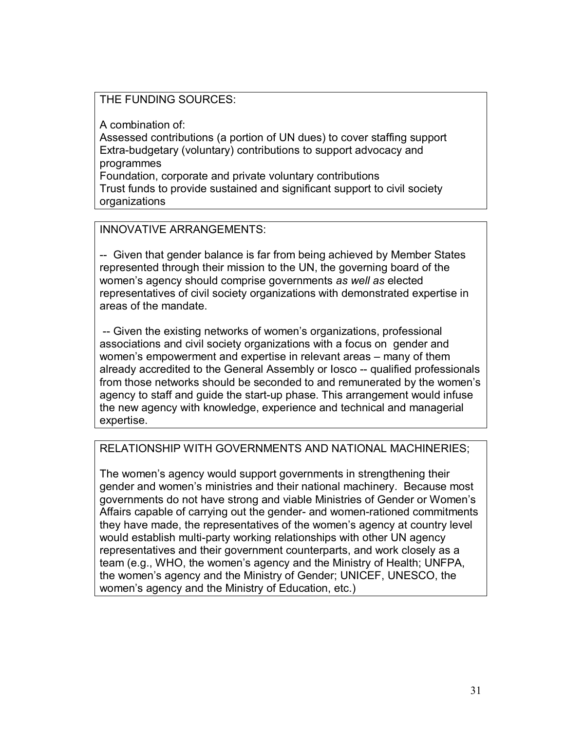# THE FUNDING SOURCES:

A combination of:

Assessed contributions (a portion of UN dues) to cover staffing support Extra-budgetary (voluntary) contributions to support advocacy and programmes Foundation, corporate and private voluntary contributions Trust funds to provide sustained and significant support to civil society

# organizations

#### INNOVATIVE ARRANGEMENTS:

-- Given that gender balance is far from being achieved by Member States represented through their mission to the UN, the governing board of the womenís agency should comprise governments *as well as* elected representatives of civil society organizations with demonstrated expertise in areas of the mandate.

-- Given the existing networks of women's organizations, professional associations and civil society organizations with a focus on gender and women's empowerment and expertise in relevant areas – many of them already accredited to the General Assembly or Iosco -- qualified professionals from those networks should be seconded to and remunerated by the women's agency to staff and guide the start-up phase. This arrangement would infuse the new agency with knowledge, experience and technical and managerial expertise.

# RELATIONSHIP WITH GOVERNMENTS AND NATIONAL MACHINERIES;

The women's agency would support governments in strengthening their gender and women's ministries and their national machinery. Because most governments do not have strong and viable Ministries of Gender or Womenís Affairs capable of carrying out the gender- and women-rationed commitments they have made, the representatives of the womenís agency at country level would establish multi-party working relationships with other UN agency representatives and their government counterparts, and work closely as a team (e.g., WHO, the womenís agency and the Ministry of Health; UNFPA, the womenís agency and the Ministry of Gender; UNICEF, UNESCO, the women's agency and the Ministry of Education, etc.)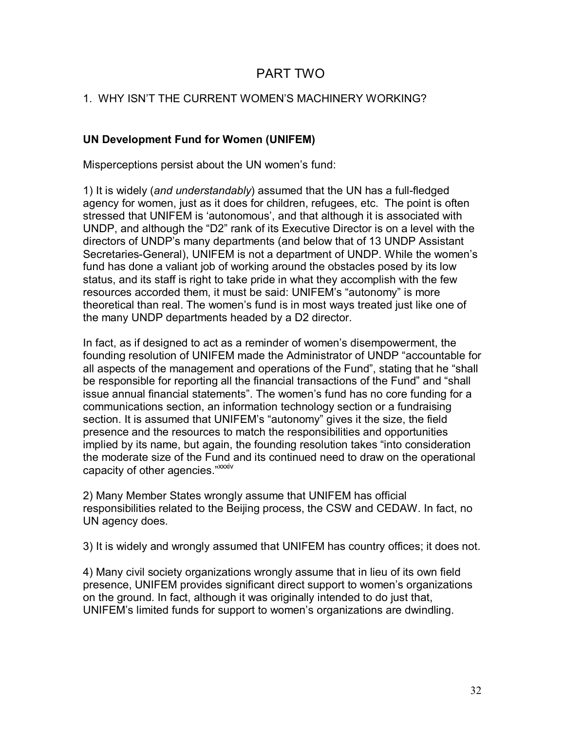# PART TWO

# 1. WHY ISN'T THE CURRENT WOMEN'S MACHINERY WORKING?

# **UN Development Fund for Women (UNIFEM)**

Misperceptions persist about the UN women's fund:

1) It is widely (*and understandably*) assumed that the UN has a full-fledged agency for women, just as it does for children, refugees, etc. The point is often stressed that UNIFEM is 'autonomous', and that although it is associated with UNDP, and although the "D2" rank of its Executive Director is on a level with the directors of UNDPís many departments (and below that of 13 UNDP Assistant Secretaries-General), UNIFEM is not a department of UNDP. While the womenís fund has done a valiant job of working around the obstacles posed by its low status, and its staff is right to take pride in what they accomplish with the few resources accorded them, it must be said: UNIFEM's "autonomy" is more theoretical than real. The womenís fund is in most ways treated just like one of the many UNDP departments headed by a D2 director.

In fact, as if designed to act as a reminder of women's disempowerment, the founding resolution of UNIFEM made the Administrator of UNDP "accountable for all aspects of the management and operations of the Fund", stating that he "shall be responsible for reporting all the financial transactions of the Fund" and "shall issue annual financial statements". The women's fund has no core funding for a communications section, an information technology section or a fundraising section. It is assumed that UNIFEM's "autonomy" gives it the size, the field presence and the resources to match the responsibilities and opportunities implied by its name, but again, the founding resolution takes "into consideration the moderate size of the Fund and its continued need to draw on the operational capacity of other agencies.<sup>"XXXIV</sup>

2) Many Member States wrongly assume that UNIFEM has official responsibilities related to the Beijing process, the CSW and CEDAW. In fact, no UN agency does.

3) It is widely and wrongly assumed that UNIFEM has country offices; it does not.

4) Many civil society organizations wrongly assume that in lieu of its own field presence, UNIFEM provides significant direct support to womenís organizations on the ground. In fact, although it was originally intended to do just that, UNIFEM's limited funds for support to women's organizations are dwindling.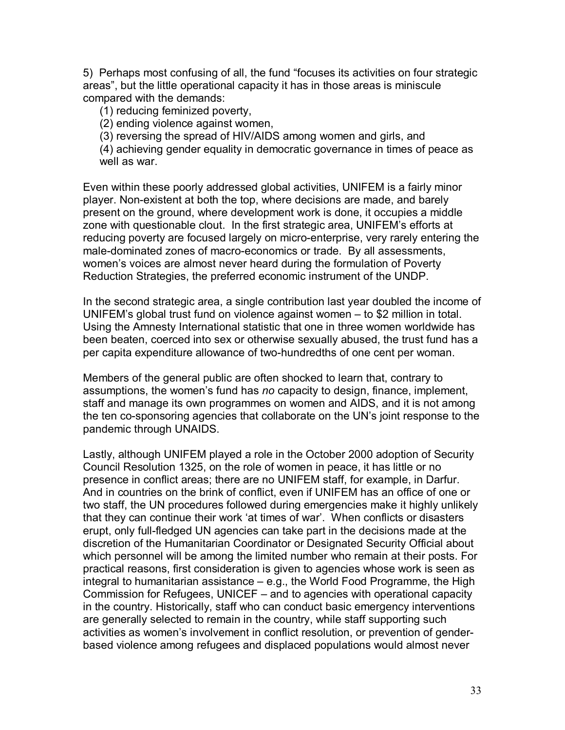5) Perhaps most confusing of all, the fund "focuses its activities on four strategic areas", but the little operational capacity it has in those areas is miniscule compared with the demands:

(1) reducing feminized poverty,

(2) ending violence against women,

(3) reversing the spread of HIV/AIDS among women and girls, and

(4) achieving gender equality in democratic governance in times of peace as well as war.

Even within these poorly addressed global activities, UNIFEM is a fairly minor player. Non-existent at both the top, where decisions are made, and barely present on the ground, where development work is done, it occupies a middle zone with questionable clout. In the first strategic area, UNIFEMís efforts at reducing poverty are focused largely on micro-enterprise, very rarely entering the male-dominated zones of macro-economics or trade. By all assessments, women's voices are almost never heard during the formulation of Poverty Reduction Strategies, the preferred economic instrument of the UNDP.

In the second strategic area, a single contribution last year doubled the income of UNIFEM's global trust fund on violence against women  $-$  to \$2 million in total. Using the Amnesty International statistic that one in three women worldwide has been beaten, coerced into sex or otherwise sexually abused, the trust fund has a per capita expenditure allowance of two-hundredths of one cent per woman.

Members of the general public are often shocked to learn that, contrary to assumptions, the women's fund has *no* capacity to design, finance, implement, staff and manage its own programmes on women and AIDS, and it is not among the ten co-sponsoring agencies that collaborate on the UN's joint response to the pandemic through UNAIDS.

Lastly, although UNIFEM played a role in the October 2000 adoption of Security Council Resolution 1325, on the role of women in peace, it has little or no presence in conflict areas; there are no UNIFEM staff, for example, in Darfur. And in countries on the brink of conflict, even if UNIFEM has an office of one or two staff, the UN procedures followed during emergencies make it highly unlikely that they can continue their work 'at times of war'. When conflicts or disasters erupt, only full-fledged UN agencies can take part in the decisions made at the discretion of the Humanitarian Coordinator or Designated Security Official about which personnel will be among the limited number who remain at their posts. For practical reasons, first consideration is given to agencies whose work is seen as integral to humanitarian assistance  $-e.g.,$  the World Food Programme, the High Commission for Refugees, UNICEF – and to agencies with operational capacity in the country. Historically, staff who can conduct basic emergency interventions are generally selected to remain in the country, while staff supporting such activities as women's involvement in conflict resolution, or prevention of genderbased violence among refugees and displaced populations would almost never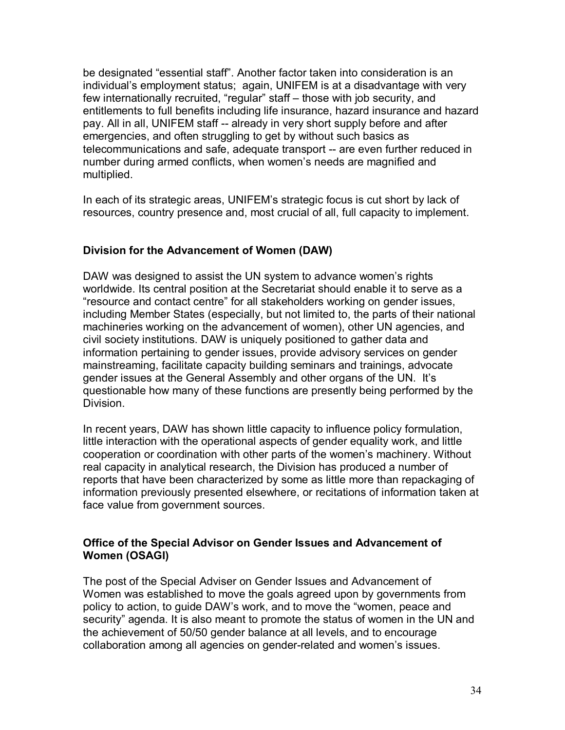be designated "essential staff". Another factor taken into consideration is an individual's employment status; again, UNIFEM is at a disadvantage with very few internationally recruited, "regular" staff – those with job security, and entitlements to full benefits including life insurance, hazard insurance and hazard pay. All in all, UNIFEM staff -- already in very short supply before and after emergencies, and often struggling to get by without such basics as telecommunications and safe, adequate transport -- are even further reduced in number during armed conflicts, when women's needs are magnified and multiplied.

In each of its strategic areas, UNIFEMís strategic focus is cut short by lack of resources, country presence and, most crucial of all, full capacity to implement.

# **Division for the Advancement of Women (DAW)**

DAW was designed to assist the UN system to advance women's rights worldwide. Its central position at the Secretariat should enable it to serve as a ìresource and contact centreî for all stakeholders working on gender issues, including Member States (especially, but not limited to, the parts of their national machineries working on the advancement of women), other UN agencies, and civil society institutions. DAW is uniquely positioned to gather data and information pertaining to gender issues, provide advisory services on gender mainstreaming, facilitate capacity building seminars and trainings, advocate gender issues at the General Assembly and other organs of the UN. Itís questionable how many of these functions are presently being performed by the Division.

In recent years, DAW has shown little capacity to influence policy formulation, little interaction with the operational aspects of gender equality work, and little cooperation or coordination with other parts of the women's machinery. Without real capacity in analytical research, the Division has produced a number of reports that have been characterized by some as little more than repackaging of information previously presented elsewhere, or recitations of information taken at face value from government sources.

#### **Office of the Special Advisor on Gender Issues and Advancement of Women (OSAGI)**

The post of the Special Adviser on Gender Issues and Advancement of Women was established to move the goals agreed upon by governments from policy to action, to guide DAW's work, and to move the "women, peace and security" agenda. It is also meant to promote the status of women in the UN and the achievement of 50/50 gender balance at all levels, and to encourage collaboration among all agencies on gender-related and women's issues.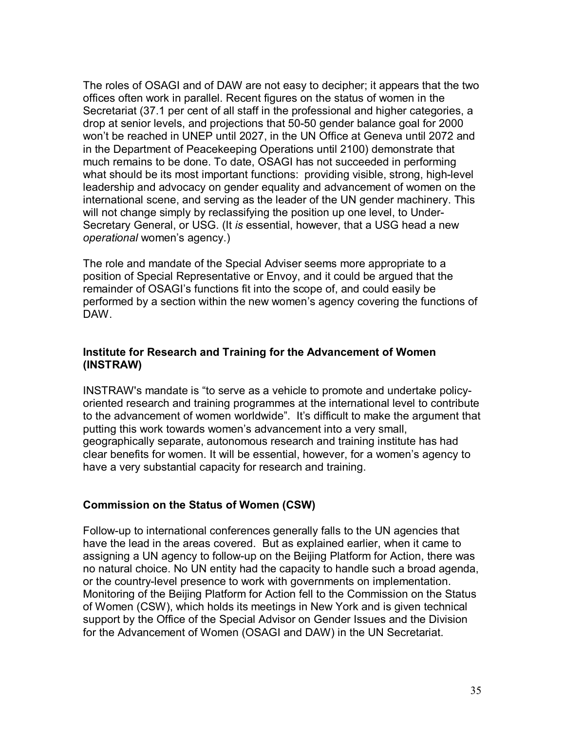The roles of OSAGI and of DAW are not easy to decipher; it appears that the two offices often work in parallel. Recent figures on the status of women in the Secretariat (37.1 per cent of all staff in the professional and higher categories, a drop at senior levels, and projections that 50-50 gender balance goal for 2000 won't be reached in UNEP until 2027, in the UN Office at Geneva until 2072 and in the Department of Peacekeeping Operations until 2100) demonstrate that much remains to be done. To date, OSAGI has not succeeded in performing what should be its most important functions: providing visible, strong, high-level leadership and advocacy on gender equality and advancement of women on the international scene, and serving as the leader of the UN gender machinery. This will not change simply by reclassifying the position up one level, to Under-Secretary General, or USG. (It *is* essential, however, that a USG head a new *operational* womenís agency.)

The role and mandate of the Special Adviser seems more appropriate to a position of Special Representative or Envoy, and it could be argued that the remainder of OSAGI's functions fit into the scope of, and could easily be performed by a section within the new women's agency covering the functions of DAW.

#### **Institute for Research and Training for the Advancement of Women (INSTRAW)**

INSTRAW's mandate is "to serve as a vehicle to promote and undertake policyoriented research and training programmes at the international level to contribute to the advancement of women worldwide". It's difficult to make the argument that putting this work towards women's advancement into a very small, geographically separate, autonomous research and training institute has had clear benefits for women. It will be essential, however, for a womenís agency to have a very substantial capacity for research and training.

# **Commission on the Status of Women (CSW)**

Follow-up to international conferences generally falls to the UN agencies that have the lead in the areas covered. But as explained earlier, when it came to assigning a UN agency to follow-up on the Beijing Platform for Action, there was no natural choice. No UN entity had the capacity to handle such a broad agenda, or the country-level presence to work with governments on implementation. Monitoring of the Beijing Platform for Action fell to the Commission on the Status of Women (CSW), which holds its meetings in New York and is given technical support by the Office of the Special Advisor on Gender Issues and the Division for the Advancement of Women (OSAGI and DAW) in the UN Secretariat.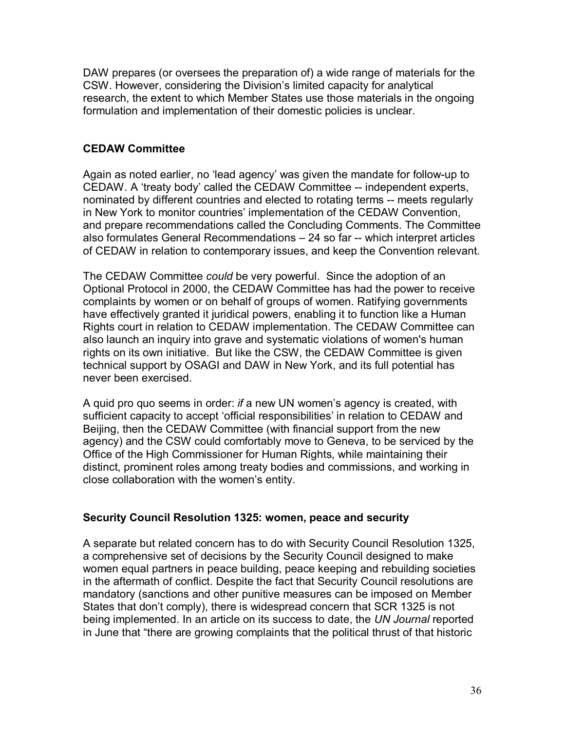DAW prepares (or oversees the preparation of) a wide range of materials for the CSW. However, considering the Division's limited capacity for analytical research, the extent to which Member States use those materials in the ongoing formulation and implementation of their domestic policies is unclear.

# **CEDAW Committee**

Again as noted earlier, no 'lead agency' was given the mandate for follow-up to CEDAW. A 'treaty body' called the CEDAW Committee -- independent experts, nominated by different countries and elected to rotating terms -- meets regularly in New York to monitor countries' implementation of the CEDAW Convention, and prepare recommendations called the Concluding Comments. The Committee also formulates General Recommendations  $-24$  so far  $-$  which interpret articles of CEDAW in relation to contemporary issues, and keep the Convention relevant.

The CEDAW Committee *could* be very powerful. Since the adoption of an Optional Protocol in 2000, the CEDAW Committee has had the power to receive complaints by women or on behalf of groups of women. Ratifying governments have effectively granted it juridical powers, enabling it to function like a Human Rights court in relation to CEDAW implementation. The CEDAW Committee can also launch an inquiry into grave and systematic violations of women's human rights on its own initiative. But like the CSW, the CEDAW Committee is given technical support by OSAGI and DAW in New York, and its full potential has never been exercised.

A quid pro quo seems in order: *if* a new UN womenís agency is created, with sufficient capacity to accept 'official responsibilities' in relation to CEDAW and Beijing, then the CEDAW Committee (with financial support from the new agency) and the CSW could comfortably move to Geneva, to be serviced by the Office of the High Commissioner for Human Rights, while maintaining their distinct, prominent roles among treaty bodies and commissions, and working in close collaboration with the women's entity.

#### **Security Council Resolution 1325: women, peace and security**

A separate but related concern has to do with Security Council Resolution 1325, a comprehensive set of decisions by the Security Council designed to make women equal partners in peace building, peace keeping and rebuilding societies in the aftermath of conflict. Despite the fact that Security Council resolutions are mandatory (sanctions and other punitive measures can be imposed on Member States that don't comply), there is widespread concern that SCR 1325 is not being implemented. In an article on its success to date, the *UN Journal* reported in June that "there are growing complaints that the political thrust of that historic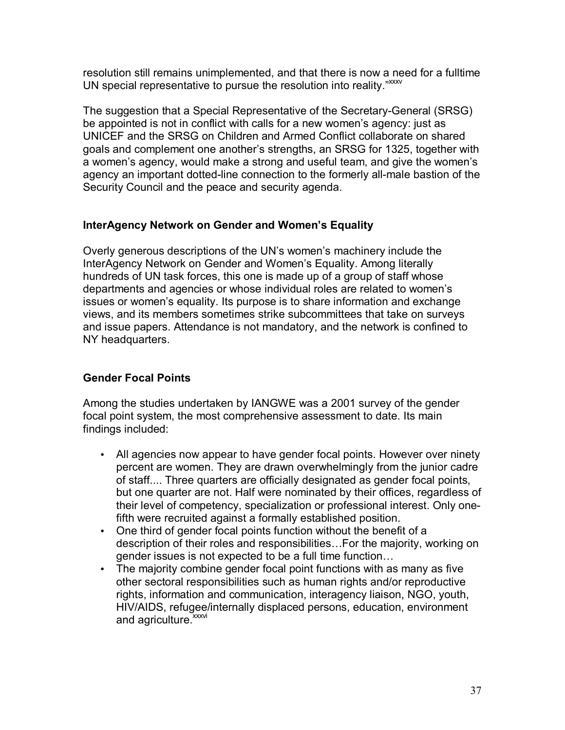resolution still remains unimplemented, and that there is now a need for a fulltime UN special representative to pursue the resolution into reality." xxxv

The suggestion that a Special Representative of the Secretary-General (SRSG) be appointed is not in conflict with calls for a new women's agency: just as UNICEF and the SRSG on Children and Armed Conflict collaborate on shared goals and complement one anotherís strengths, an SRSG for 1325, together with a women's agency, would make a strong and useful team, and give the women's agency an important dotted-line connection to the formerly all-male bastion of the Security Council and the peace and security agenda.

# **InterAgency Network on Gender and Women's Equality**

Overly generous descriptions of the UN's women's machinery include the InterAgency Network on Gender and Women's Equality. Among literally hundreds of UN task forces, this one is made up of a group of staff whose departments and agencies or whose individual roles are related to women's issues or women's equality. Its purpose is to share information and exchange views, and its members sometimes strike subcommittees that take on surveys and issue papers. Attendance is not mandatory, and the network is confined to NY headquarters.

# **Gender Focal Points**

Among the studies undertaken by IANGWE was a 2001 survey of the gender focal point system, the most comprehensive assessment to date. Its main findings included:

- All agencies now appear to have gender focal points. However over ninety percent are women. They are drawn overwhelmingly from the junior cadre of staff.... Three quarters are officially designated as gender focal points, but one quarter are not. Half were nominated by their offices, regardless of their level of competency, specialization or professional interest. Only onefifth were recruited against a formally established position.
- One third of gender focal points function without the benefit of a description of their roles and responsibilities... For the majority, working on gender issues is not expected to be a full time function...
- The majority combine gender focal point functions with as many as five other sectoral responsibilities such as human rights and/or reproductive rights, information and communication, interagency liaison, NGO, youth, HIV/AIDS, refugee/internally displaced persons, education, environment and agriculture.<sup>xxxvi</sup>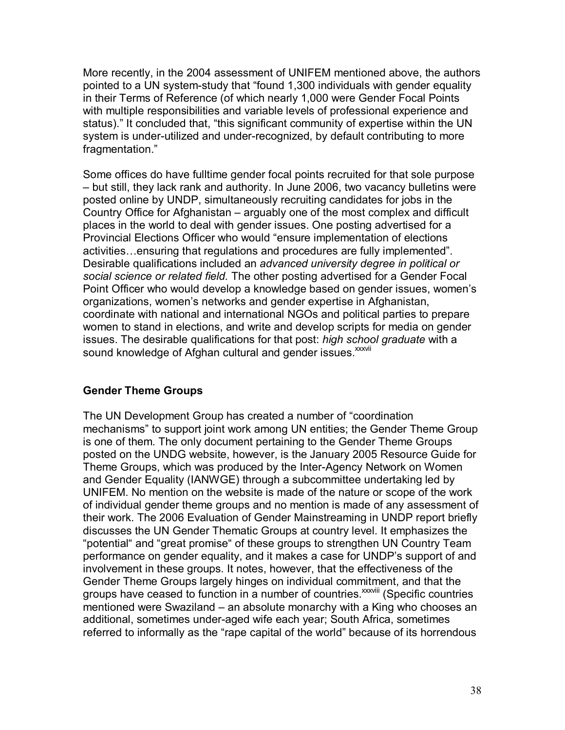More recently, in the 2004 assessment of UNIFEM mentioned above, the authors pointed to a UN system-study that "found 1,300 individuals with gender equality in their Terms of Reference (of which nearly 1,000 were Gender Focal Points with multiple responsibilities and variable levels of professional experience and status)." It concluded that, "this significant community of expertise within the UN system is under-utilized and under-recognized, by default contributing to more fragmentation."

Some offices do have fulltime gender focal points recruited for that sole purpose – but still, they lack rank and authority. In June 2006, two vacancy bulletins were posted online by UNDP, simultaneously recruiting candidates for jobs in the Country Office for Afghanistan – arguably one of the most complex and difficult places in the world to deal with gender issues. One posting advertised for a Provincial Elections Officer who would "ensure implementation of elections activities...ensuring that regulations and procedures are fully implemented". Desirable qualifications included an *advanced university degree in political or social science or related field.* The other posting advertised for a Gender Focal Point Officer who would develop a knowledge based on gender issues, womenís organizations, women's networks and gender expertise in Afghanistan, coordinate with national and international NGOs and political parties to prepare women to stand in elections, and write and develop scripts for media on gender issues. The desirable qualifications for that post: *high school graduate* with a sound knowledge of Afghan cultural and gender issues. XXXVII

# **Gender Theme Groups**

The UN Development Group has created a number of "coordination mechanisms" to support joint work among UN entities; the Gender Theme Group is one of them. The only document pertaining to the Gender Theme Groups posted on the UNDG website, however, is the January 2005 Resource Guide for Theme Groups, which was produced by the Inter-Agency Network on Women and Gender Equality (IANWGE) through a subcommittee undertaking led by UNIFEM. No mention on the website is made of the nature or scope of the work of individual gender theme groups and no mention is made of any assessment of their work. The 2006 Evaluation of Gender Mainstreaming in UNDP report briefly discusses the UN Gender Thematic Groups at country level. It emphasizes the "potential" and "great promise" of these groups to strengthen UN Country Team performance on gender equality, and it makes a case for UNDP's support of and involvement in these groups. It notes, however, that the effectiveness of the Gender Theme Groups largely hinges on individual commitment, and that the groups have ceased to function in a number of countries.<sup>xxxviii</sup> (Specific countries mentioned were Swaziland  $-$  an absolute monarchy with a King who chooses an additional, sometimes under-aged wife each year; South Africa, sometimes referred to informally as the "rape capital of the world" because of its horrendous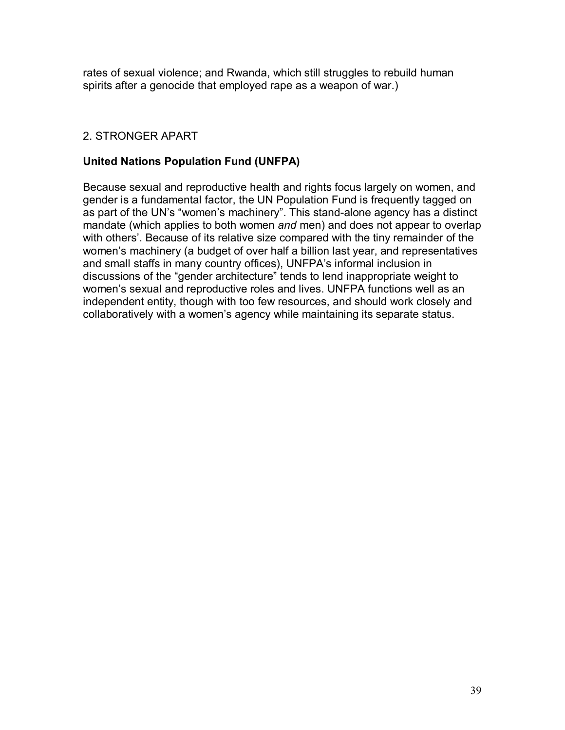rates of sexual violence; and Rwanda, which still struggles to rebuild human spirits after a genocide that employed rape as a weapon of war.)

# 2. STRONGER APART

# **United Nations Population Fund (UNFPA)**

Because sexual and reproductive health and rights focus largely on women, and gender is a fundamental factor, the UN Population Fund is frequently tagged on as part of the UN's "women's machinery". This stand-alone agency has a distinct mandate (which applies to both women *and* men) and does not appear to overlap with others'. Because of its relative size compared with the tiny remainder of the women's machinery (a budget of over half a billion last year, and representatives and small staffs in many country offices), UNFPA's informal inclusion in discussions of the "gender architecture" tends to lend inappropriate weight to women's sexual and reproductive roles and lives. UNFPA functions well as an independent entity, though with too few resources, and should work closely and collaboratively with a women's agency while maintaining its separate status.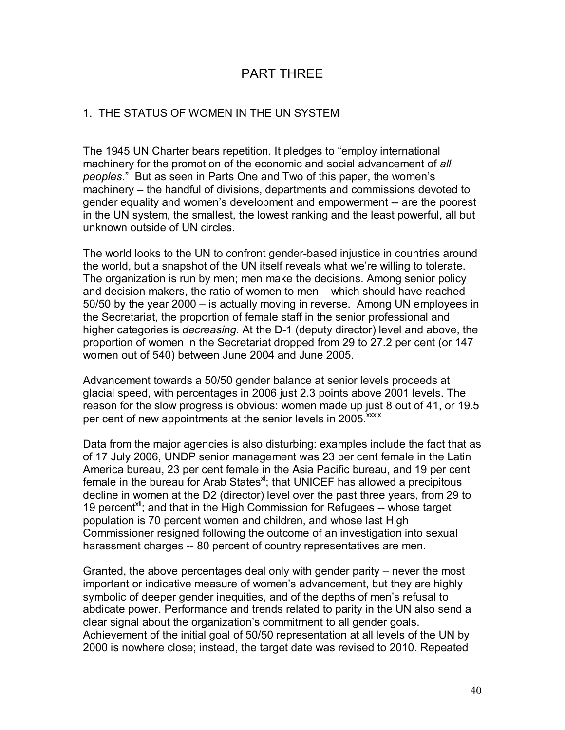# PART THREE

#### 1. THE STATUS OF WOMEN IN THE UN SYSTEM

The 1945 UN Charter bears repetition. It pledges to "employ international machinery for the promotion of the economic and social advancement of *all peoples*.î But as seen in Parts One and Two of this paper, the womenís machinery – the handful of divisions, departments and commissions devoted to gender equality and womenís development and empowerment -- are the poorest in the UN system, the smallest, the lowest ranking and the least powerful, all but unknown outside of UN circles.

The world looks to the UN to confront gender-based injustice in countries around the world, but a snapshot of the UN itself reveals what we're willing to tolerate. The organization is run by men; men make the decisions. Among senior policy and decision makers, the ratio of women to men - which should have reached  $50/50$  by the year  $2000 -$  is actually moving in reverse. Among UN employees in the Secretariat, the proportion of female staff in the senior professional and higher categories is *decreasing.* At the D-1 (deputy director) level and above, the proportion of women in the Secretariat dropped from 29 to 27.2 per cent (or 147 women out of 540) between June 2004 and June 2005.

Advancement towards a 50/50 gender balance at senior levels proceeds at glacial speed, with percentages in 2006 just 2.3 points above 2001 levels. The reason for the slow progress is obvious: women made up just 8 out of 41, or 19.5 per cent of new appointments at the senior levels in 2005.<sup>xxxix</sup>

Data from the major agencies is also disturbing: examples include the fact that as of 17 July 2006, UNDP senior management was 23 per cent female in the Latin America bureau, 23 per cent female in the Asia Pacific bureau, and 19 per cent female in the bureau for Arab States<sup>xl</sup>; that UNICEF has allowed a precipitous decline in women at the D2 (director) level over the past three years, from 29 to 19 percent<sup>xii</sup>; and that in the High Commission for Refugees  $-$  whose target population is 70 percent women and children, and whose last High Commissioner resigned following the outcome of an investigation into sexual harassment charges -- 80 percent of country representatives are men.

Granted, the above percentages deal only with gender parity – never the most important or indicative measure of women's advancement, but they are highly symbolic of deeper gender inequities, and of the depths of menís refusal to abdicate power. Performance and trends related to parity in the UN also send a clear signal about the organization's commitment to all gender goals. Achievement of the initial goal of 50/50 representation at all levels of the UN by 2000 is nowhere close; instead, the target date was revised to 2010. Repeated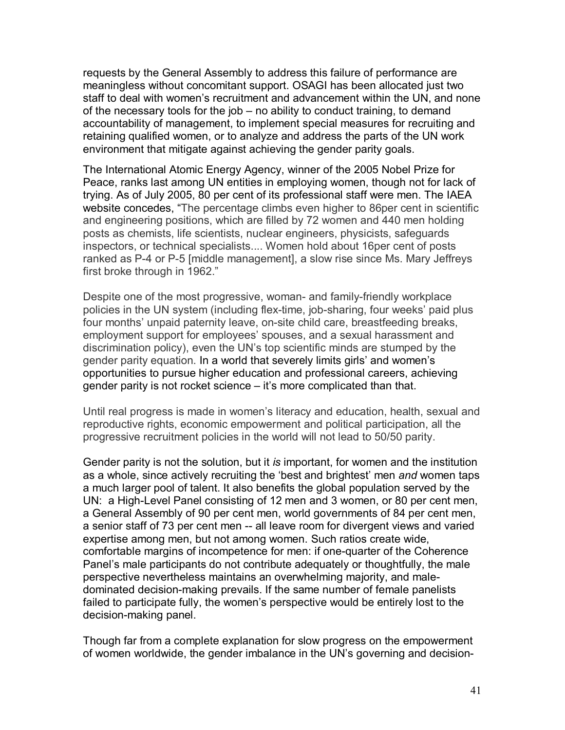requests by the General Assembly to address this failure of performance are meaningless without concomitant support. OSAGI has been allocated just two staff to deal with womenís recruitment and advancement within the UN, and none of the necessary tools for the job  $-$  no ability to conduct training, to demand accountability of management, to implement special measures for recruiting and retaining qualified women, or to analyze and address the parts of the UN work environment that mitigate against achieving the gender parity goals.

The International Atomic Energy Agency, winner of the 2005 Nobel Prize for Peace, ranks last among UN entities in employing women, though not for lack of trying. As of July 2005, 80 per cent of its professional staff were men. The IAEA website concedes, "The percentage climbs even higher to 86 per cent in scientific and engineering positions, which are filled by 72 women and 440 men holding posts as chemists, life scientists, nuclear engineers, physicists, safeguards inspectors, or technical specialists.... Women hold about 16per cent of posts ranked as P-4 or P-5 [middle management], a slow rise since Ms. Mary Jeffreys first broke through in 1962."

Despite one of the most progressive, woman- and family-friendly workplace policies in the UN system (including flex-time, job-sharing, four weeks' paid plus four months' unpaid paternity leave, on-site child care, breastfeeding breaks, employment support for employees' spouses, and a sexual harassment and discrimination policy), even the UN's top scientific minds are stumped by the gender parity equation. In a world that severely limits girls' and women's opportunities to pursue higher education and professional careers, achieving gender parity is not rocket science – it's more complicated than that.

Until real progress is made in womenís literacy and education, health, sexual and reproductive rights, economic empowerment and political participation, all the progressive recruitment policies in the world will not lead to 50/50 parity.

Gender parity is not the solution, but it *is* important, for women and the institution as a whole, since actively recruiting the 'best and brightest' men *and* women taps a much larger pool of talent. It also benefits the global population served by the UN: a High-Level Panel consisting of 12 men and 3 women, or 80 per cent men, a General Assembly of 90 per cent men, world governments of 84 per cent men, a senior staff of 73 per cent men -- all leave room for divergent views and varied expertise among men, but not among women. Such ratios create wide, comfortable margins of incompetence for men: if one-quarter of the Coherence Panel's male participants do not contribute adequately or thoughtfully, the male perspective nevertheless maintains an overwhelming majority, and maledominated decision-making prevails. If the same number of female panelists failed to participate fully, the womenís perspective would be entirely lost to the decision-making panel.

Though far from a complete explanation for slow progress on the empowerment of women worldwide, the gender imbalance in the UNís governing and decision-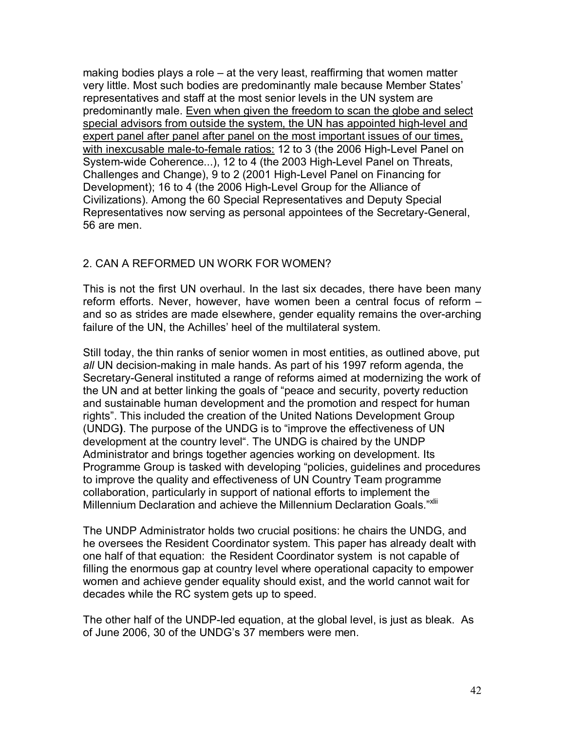making bodies plays a role  $-$  at the very least, reaffirming that women matter very little. Most such bodies are predominantly male because Member States' representatives and staff at the most senior levels in the UN system are predominantly male. Even when given the freedom to scan the globe and select special advisors from outside the system, the UN has appointed high-level and expert panel after panel after panel on the most important issues of our times, with inexcusable male-to-female ratios: 12 to 3 (the 2006 High-Level Panel on System-wide Coherence...), 12 to 4 (the 2003 High-Level Panel on Threats, Challenges and Change), 9 to 2 (2001 High-Level Panel on Financing for Development); 16 to 4 (the 2006 High-Level Group for the Alliance of Civilizations). Among the 60 Special Representatives and Deputy Special Representatives now serving as personal appointees of the Secretary-General, 56 are men.

#### 2. CAN A REFORMED UN WORK FOR WOMEN?

This is not the first UN overhaul. In the last six decades, there have been many reform efforts. Never, however, have women been a central focus of reform  $$ and so as strides are made elsewhere, gender equality remains the over-arching failure of the UN, the Achilles' heel of the multilateral system.

Still today, the thin ranks of senior women in most entities, as outlined above, put *all* UN decision-making in male hands. As part of his 1997 reform agenda, the Secretary-General instituted a range of reforms aimed at modernizing the work of the UN and at better linking the goals of "peace and security, poverty reduction and sustainable human development and the promotion and respect for human rights". This included the creation of the United Nations Development Group (UNDG). The purpose of the UNDG is to "improve the effectiveness of UN development at the country level". The UNDG is chaired by the UNDP Administrator and brings together agencies working on development. Its Programme Group is tasked with developing "policies, guidelines and procedures to improve the quality and effectiveness of UN Country Team programme collaboration, particularly in support of national efforts to implement the Millennium Declaration and achieve the Millennium Declaration Goals.<sup>"Xlii</sup>

The UNDP Administrator holds two crucial positions: he chairs the UNDG, and he oversees the Resident Coordinator system. This paper has already dealt with one half of that equation: the Resident Coordinator system is not capable of filling the enormous gap at country level where operational capacity to empower women and achieve gender equality should exist, and the world cannot wait for decades while the RC system gets up to speed.

The other half of the UNDP-led equation, at the global level, is just as bleak. As of June 2006, 30 of the UNDG's 37 members were men.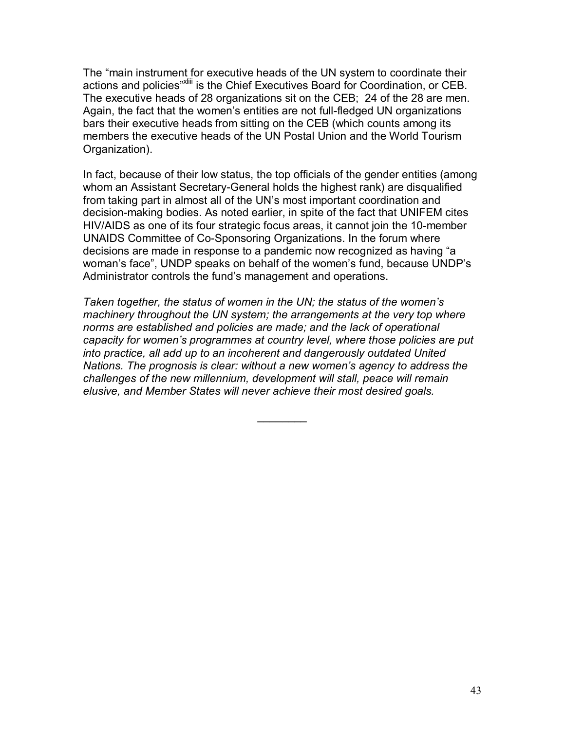The "main instrument for executive heads of the UN system to coordinate their actions and policies<sup>"XIII</sup> is the Chief Executives Board for Coordination, or CEB. The executive heads of 28 organizations sit on the CEB; 24 of the 28 are men. Again, the fact that the women's entities are not full-fledged UN organizations bars their executive heads from sitting on the CEB (which counts among its members the executive heads of the UN Postal Union and the World Tourism Organization).

In fact, because of their low status, the top officials of the gender entities (among whom an Assistant Secretary-General holds the highest rank) are disqualified from taking part in almost all of the UN's most important coordination and decision-making bodies. As noted earlier, in spite of the fact that UNIFEM cites HIV/AIDS as one of its four strategic focus areas, it cannot join the 10-member UNAIDS Committee of Co-Sponsoring Organizations. In the forum where decisions are made in response to a pandemic now recognized as having "a woman's face", UNDP speaks on behalf of the women's fund, because UNDP's Administrator controls the fund's management and operations.

*Taken together, the status of women in the UN; the status of the womenís machinery throughout the UN system; the arrangements at the very top where norms are established and policies are made; and the lack of operational*  capacity for women's programmes at country level, where those policies are put *into practice, all add up to an incoherent and dangerously outdated United Nations. The prognosis is clear: without a new women's agency to address the challenges of the new millennium, development will stall, peace will remain elusive, and Member States will never achieve their most desired goals.* 

 $\frac{1}{2}$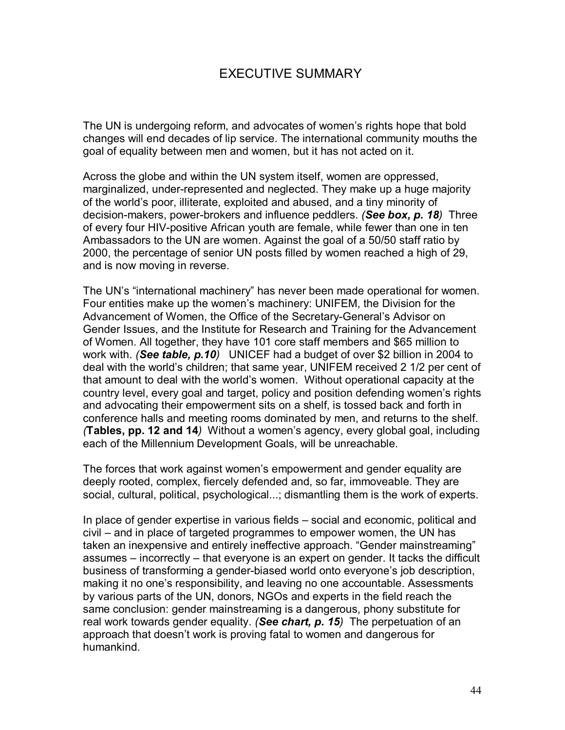# EXECUTIVE SUMMARY

The UN is undergoing reform, and advocates of women's rights hope that bold changes will end decades of lip service. The international community mouths the goal of equality between men and women, but it has not acted on it.

Across the globe and within the UN system itself, women are oppressed, marginalized, under-represented and neglected. They make up a huge majority of the worldís poor, illiterate, exploited and abused, and a tiny minority of decision-makers, power-brokers and influence peddlers. *(See box, p. 18)* Three of every four HIV-positive African youth are female, while fewer than one in ten Ambassadors to the UN are women. Against the goal of a 50/50 staff ratio by 2000, the percentage of senior UN posts filled by women reached a high of 29, and is now moving in reverse.

The UN's "international machinery" has never been made operational for women. Four entities make up the women's machinery: UNIFEM, the Division for the Advancement of Women, the Office of the Secretary-Generalís Advisor on Gender Issues, and the Institute for Research and Training for the Advancement of Women. All together, they have 101 core staff members and \$65 million to work with. *(See table, p.10)* UNICEF had a budget of over \$2 billion in 2004 to deal with the world's children; that same year, UNIFEM received 2 1/2 per cent of that amount to deal with the world's women. Without operational capacity at the country level, every goal and target, policy and position defending women's rights and advocating their empowerment sits on a shelf, is tossed back and forth in conference halls and meeting rooms dominated by men, and returns to the shelf. *(***Tables, pp. 12 and 14***)* Without a womenís agency, every global goal, including each of the Millennium Development Goals, will be unreachable.

The forces that work against womenís empowerment and gender equality are deeply rooted, complex, fiercely defended and, so far, immoveable. They are social, cultural, political, psychological...; dismantling them is the work of experts.

In place of gender expertise in various fields – social and economic, political and  $\dot{\rm~cm}$  – and in place of targeted programmes to empower women, the UN has taken an inexpensive and entirely ineffective approach. "Gender mainstreaming" assumes  $-$  incorrectly  $-$  that everyone is an expert on gender. It tacks the difficult business of transforming a gender-biased world onto everyone's job description, making it no one's responsibility, and leaving no one accountable. Assessments by various parts of the UN, donors, NGOs and experts in the field reach the same conclusion: gender mainstreaming is a dangerous, phony substitute for real work towards gender equality. *(See chart, p. 15)* The perpetuation of an approach that doesnít work is proving fatal to women and dangerous for humankind.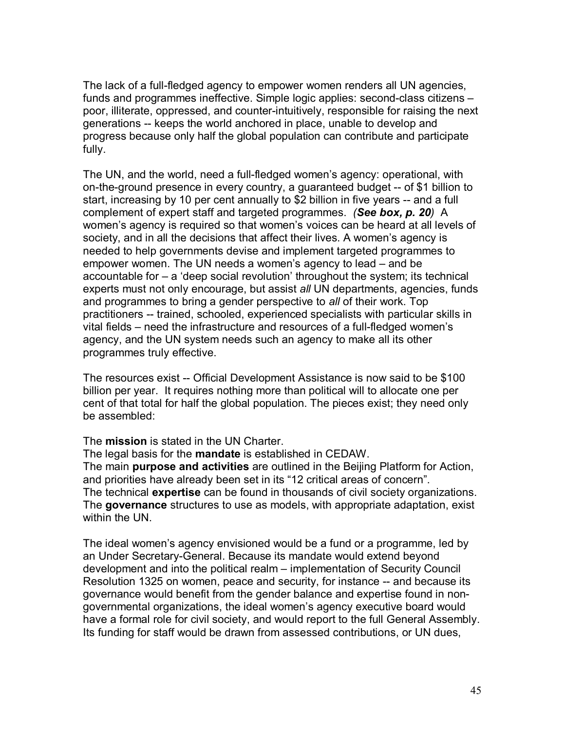The lack of a full-fledged agency to empower women renders all UN agencies, funds and programmes ineffective. Simple logic applies: second-class citizens – poor, illiterate, oppressed, and counter-intuitively, responsible for raising the next generations -- keeps the world anchored in place, unable to develop and progress because only half the global population can contribute and participate fully.

The UN, and the world, need a full-fledged women's agency: operational, with on-the-ground presence in every country, a guaranteed budget -- of \$1 billion to start, increasing by 10 per cent annually to \$2 billion in five years -- and a full complement of expert staff and targeted programmes. *(See box, p. 20)* A women's agency is required so that women's voices can be heard at all levels of society, and in all the decisions that affect their lives. A women's agency is needed to help governments devise and implement targeted programmes to empower women. The UN needs a women's agency to lead – and be accountable for  $-\alpha$  'deep social revolution' throughout the system; its technical experts must not only encourage, but assist *all* UN departments, agencies, funds and programmes to bring a gender perspective to *all* of their work. Top practitioners -- trained, schooled, experienced specialists with particular skills in vital fields – need the infrastructure and resources of a full-fledged women's agency, and the UN system needs such an agency to make all its other programmes truly effective.

The resources exist -- Official Development Assistance is now said to be \$100 billion per year. It requires nothing more than political will to allocate one per cent of that total for half the global population. The pieces exist; they need only be assembled:

#### The **mission** is stated in the UN Charter.

The legal basis for the **mandate** is established in CEDAW.

The main **purpose and activities** are outlined in the Beijing Platform for Action, and priorities have already been set in its "12 critical areas of concern". The technical **expertise** can be found in thousands of civil society organizations. The **governance** structures to use as models, with appropriate adaptation, exist within the UN.

The ideal womenís agency envisioned would be a fund or a programme, led by an Under Secretary-General. Because its mandate would extend beyond development and into the political realm – implementation of Security Council Resolution 1325 on women, peace and security, for instance -- and because its governance would benefit from the gender balance and expertise found in nongovernmental organizations, the ideal women's agency executive board would have a formal role for civil society, and would report to the full General Assembly. Its funding for staff would be drawn from assessed contributions, or UN dues,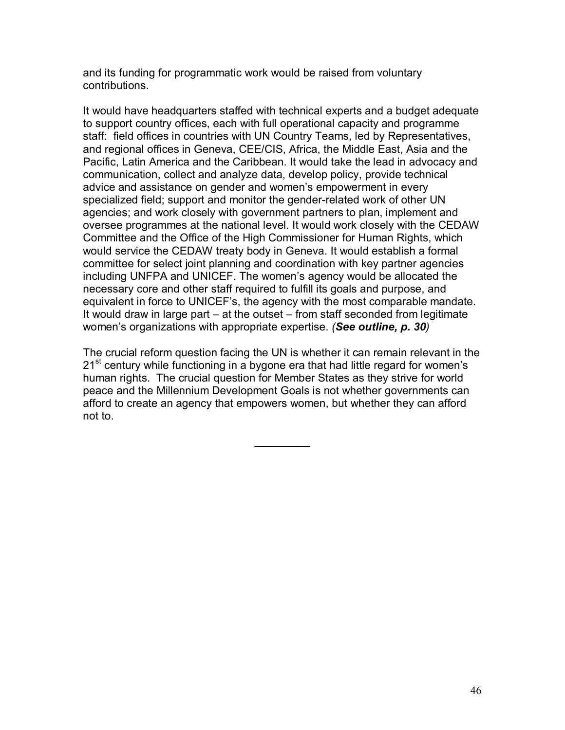and its funding for programmatic work would be raised from voluntary contributions.

It would have headquarters staffed with technical experts and a budget adequate to support country offices, each with full operational capacity and programme staff: field offices in countries with UN Country Teams, led by Representatives, and regional offices in Geneva, CEE/CIS, Africa, the Middle East, Asia and the Pacific, Latin America and the Caribbean. It would take the lead in advocacy and communication, collect and analyze data, develop policy, provide technical advice and assistance on gender and women's empowerment in every specialized field; support and monitor the gender-related work of other UN agencies; and work closely with government partners to plan, implement and oversee programmes at the national level. It would work closely with the CEDAW Committee and the Office of the High Commissioner for Human Rights, which would service the CEDAW treaty body in Geneva. It would establish a formal committee for select joint planning and coordination with key partner agencies including UNFPA and UNICEF. The women's agency would be allocated the necessary core and other staff required to fulfill its goals and purpose, and equivalent in force to UNICEF's, the agency with the most comparable mandate. It would draw in large part  $-$  at the outset  $-$  from staff seconded from legitimate womenís organizations with appropriate expertise. *(See outline, p. 30)* 

The crucial reform question facing the UN is whether it can remain relevant in the  $21<sup>st</sup>$  century while functioning in a bygone era that had little regard for women's human rights. The crucial question for Member States as they strive for world peace and the Millennium Development Goals is not whether governments can afford to create an agency that empowers women, but whether they can afford not to.

**\_\_\_\_\_\_\_\_\_**

46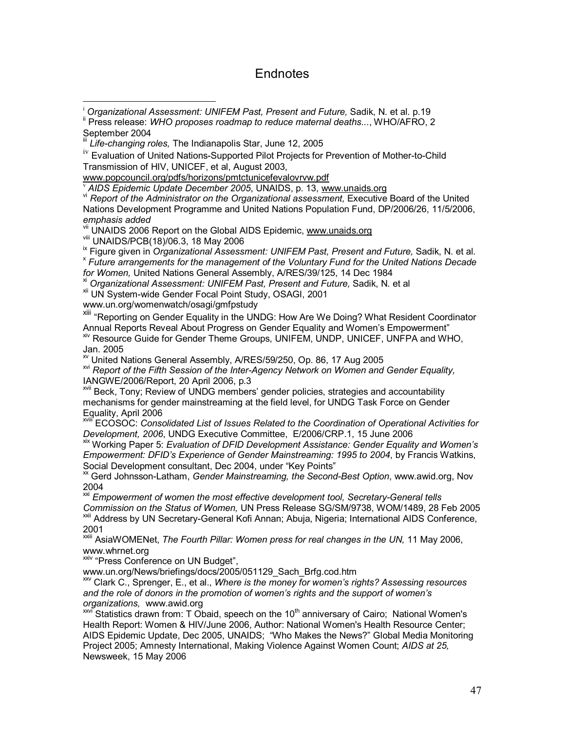#### **Endnotes**

www.popcouncil.org/pdfs/horizons/pmtctunicefevalovrvw.pdf

v *AIDS Epidemic Update December 2005*, UNAIDS, p. 13, www.unaids.org<br>vi Report of the Administrator on the Organizational assessment, Executive Board of the United Nations Development Programme and United Nations Population Fund, DP/2006/26, 11/5/2006, *emphasis added* 

vii UNAIDS 2006 Report on the Global AIDS Epidemic, www.unaids.org<br>viii UNAIDS/PCB(18)/06.3, 18 May 2006

<sup>ix</sup> Figure given in *Organizational Assessment: UNIFEM Past, Present and Future, Sadik, N. et al.*<br><sup>X</sup> Future arrangements for the management of the Voluntary Fund for the United Nations Decade<br>for Women, United Nations G

<sup>xi</sup> Organizational Assessment: UNIFEM Past, Present and Future, Sadik, N. et al

xii UN System-wide Gender Focal Point Study, OSAGI, 2001

www.un.org/womenwatch/osagi/gmfpstudy

xiii "Reporting on Gender Equality in the UNDG: How Are We Doing? What Resident Coordinator Annual Reports Reveal About Progress on Gender Equality and Women's Empowerment"

xiv Resource Guide for Gender Theme Groups, UNIFEM, UNDP, UNICEF, UNFPA and WHO, Jan. 2005

xv United Nations General Assembly, A/RES/59/250, Op. 86, 17 Aug 2005

xvi *Report of the Fifth Session of the Inter-Agency Network on Women and Gender Equality,* IANGWE/2006/Report, 20 April 2006, p.3

<sup>xvii</sup> Beck, Tony; Review of UNDG members' gender policies, strategies and accountability mechanisms for gender mainstreaming at the field level, for UNDG Task Force on Gender Equality, April 2006

ECOSOC: *Consolidated List of Issues Related to the Coordination of Operational Activities for Development, 2006*, UNDG Executive Committee, E/2006/CRP.1, 15 June 2006

xix Working Paper 5: *Evaluation of DFID Development Assistance: Gender Equality and Womenís Empowerment: DFIDís Experience of Gender Mainstreaming: 1995 to 2004*, by Francis Watkins, Social Development consultant, Dec 2004, under "Key Points"

xx Gerd Johnsson-Latham, *Gender Mainstreaming, the Second-Best Option*, www.awid.org, Nov 2004

**xxi** *Empowerment of women the most effective development tool, Secretary-General tells* 

*Commission on the Status of Women,* UN Press Release SG/SM/9738, WOM/1489, 28 Feb 2005 <sup>xxii</sup> Address by UN Secretary-General Kofi Annan; Abuja, Nigeria; International AIDS Conference, 2001

xxiii AsiaWOMENet, *The Fourth Pillar: Women press for real changes in the UN,* 11 May 2006, www.whrnet.org

xxiv "Press Conference on UN Budget",

www.un.org/News/briefings/docs/2005/051129\_Sach\_Brfg.cod.htm

xxv Clark C., Sprenger, E., et al., *Where is the money for womenís rights? Assessing resources and the role of donors in the promotion of women's rights and the support of women's organizations, www.awid.org*<br>
<sup>2001</sup> Statistics drawn from: T.Oh. is a complete the support of women is and the support of women's

*organizations,* www.awid.org xxvi Statistics drawn from: T Obaid, speech on the 10th anniversary of Cairo; National Women's Health Report: Women & HIV/June 2006, Author: National Women's Health Resource Center; AIDS Epidemic Update, Dec 2005, UNAIDS: "Who Makes the News?" Global Media Monitoring Project 2005; Amnesty International, Making Violence Against Women Count; *AIDS at 25,*  Newsweek, 15 May 2006

 $\overline{a}$ <sup>i</sup> Organizational Assessment: UNIFEM Past. Present and Future. Sadik. N. et al. p.19 <sup>ii</sup> Press release: *WHO proposes roadmap to reduce maternal deaths...*, WHO/AFRO, 2 September 2004

Life-changing roles, The Indianapolis Star, June 12, 2005

iv Evaluation of United Nations-Supported Pilot Projects for Prevention of Mother-to-Child Transmission of HIV, UNICEF, et al, August 2003,